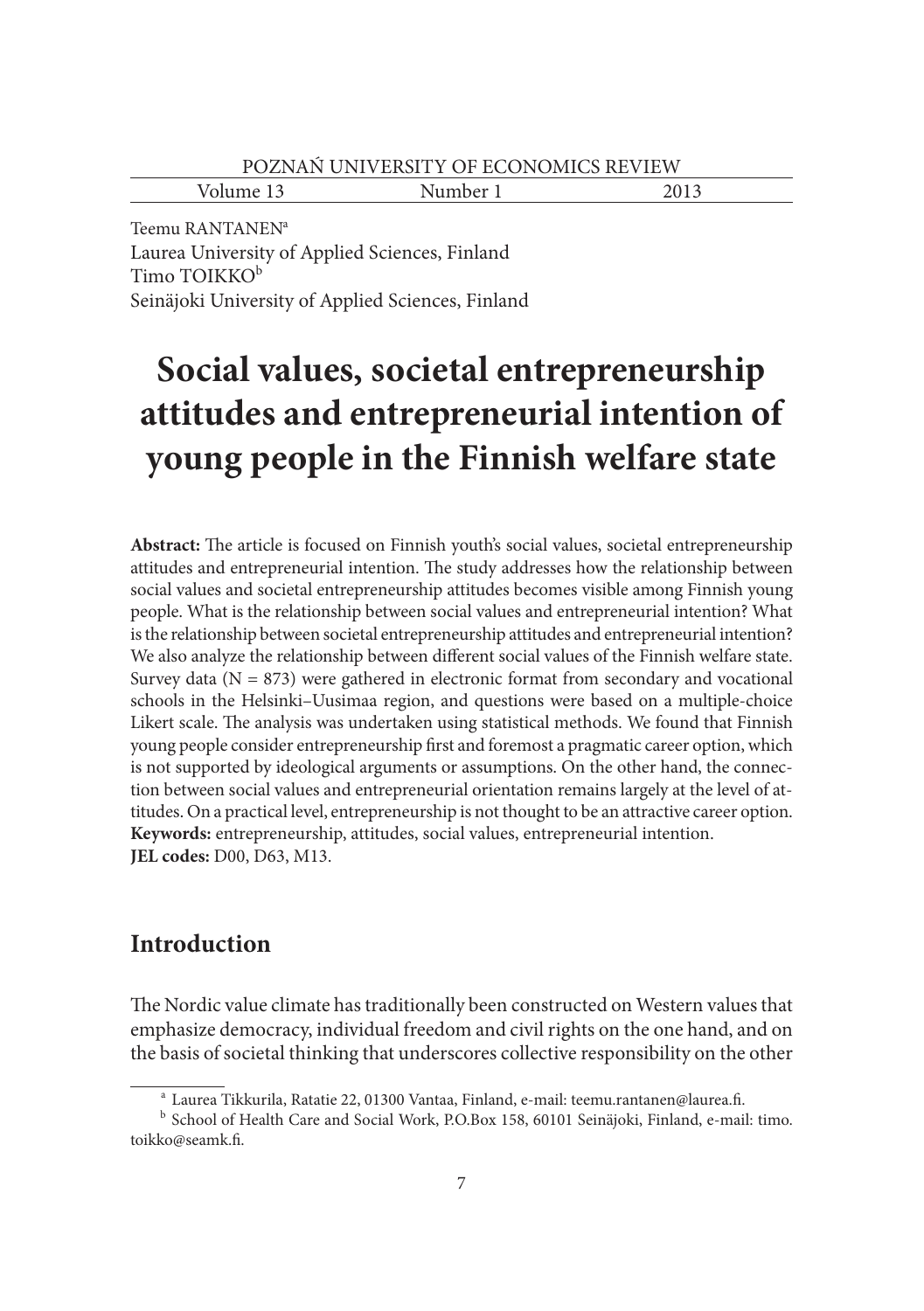| - -<br>$\mathbf{v}$<br>$\sim$<br>U | $\sim$<br>110110011 |  |
|------------------------------------|---------------------|--|
|                                    |                     |  |

Teemu RANTANEN<sup>a</sup> Laurea University of Applied Sciences, Finland Timo TOIKKO<sup>b</sup> Seinäjoki University of Applied Sciences, Finland

# **Social values, societal entrepreneurship attitudes and entrepreneurial intention of young people in the Finnish welfare state**

Abstract: The article is focused on Finnish youth's social values, societal entrepreneurship attitudes and entrepreneurial intention. The study addresses how the relationship between social values and societal entrepreneurship attitudes becomes visible among Finnish young people. What is the relationship between social values and entrepreneurial intention? What is the relationship between societal entrepreneurship attitudes and entrepreneurial intention? We also analyze the relationship between different social values of the Finnish welfare state. Survey data ( $N = 873$ ) were gathered in electronic format from secondary and vocational schools in the Helsinki–Uusimaa region, and questions were based on a multiple-choice Likert scale. The analysis was undertaken using statistical methods. We found that Finnish young people consider entrepreneurship first and foremost a pragmatic career option, which is not supported by ideological arguments or assumptions. On the other hand, the connection between social values and entrepreneurial orientation remains largely at the level of attitudes. On a practical level, entrepreneurship is not thought to be an attractive career option. **Keywords:** entrepreneurship, attitudes, social values, entrepreneurial intention. **JEL codes:** D00, D63, M13.

# **Introduction**

The Nordic value climate has traditionally been constructed on Western values that emphasize democracy, individual freedom and civil rights on the one hand, and on the basis of societal thinking that underscores collective responsibility on the other

<sup>&</sup>lt;sup>a</sup> Laurea Tikkurila, Ratatie 22, 01300 Vantaa, Finland, e-mail: teemu.rantanen@laurea.fi. b School of Health Care and Social Work, P.O.Box 158, 60101 Seinäjoki, Finland, e-mail: timo.

toikko@seamk.fi.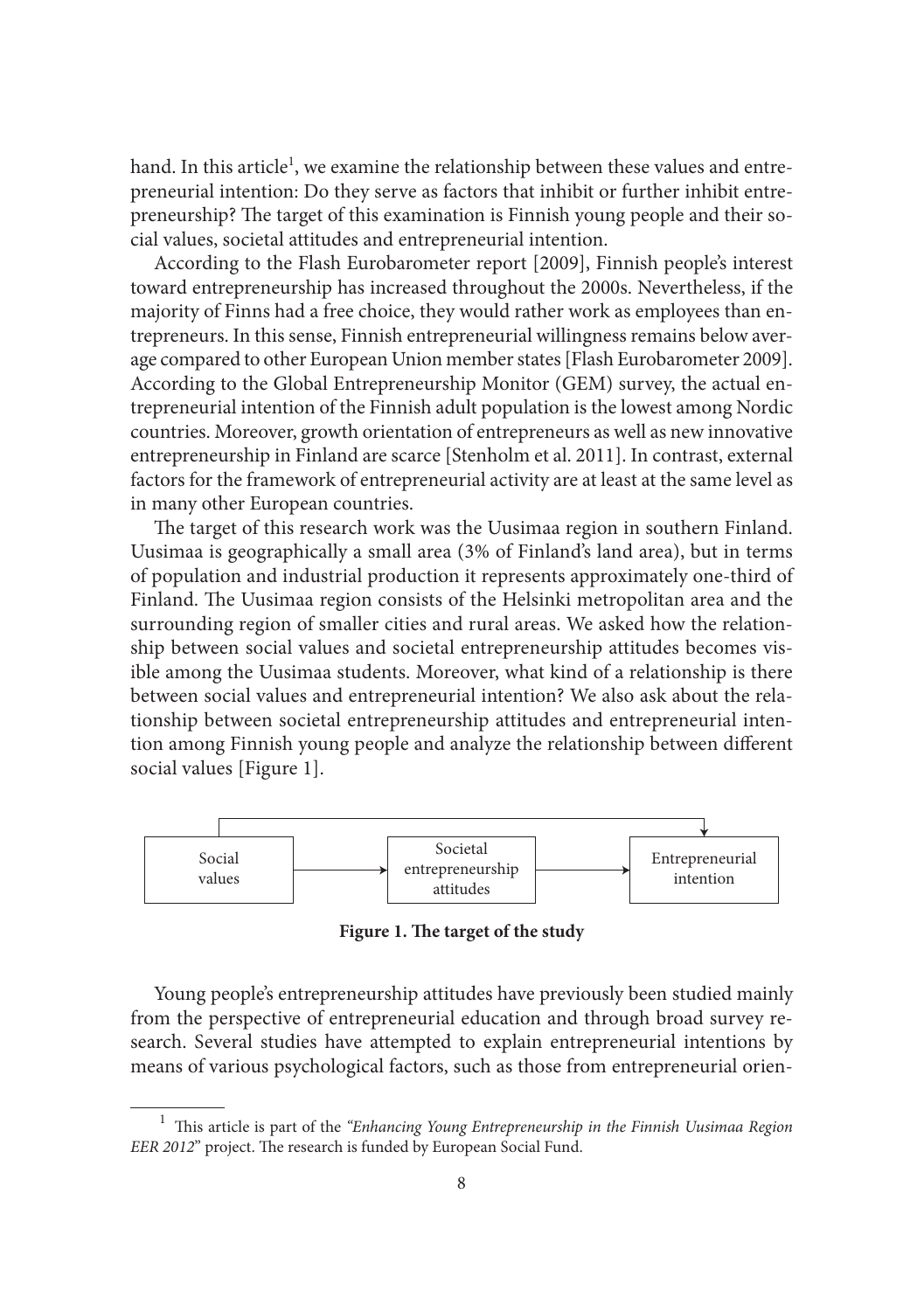hand. In this article<sup>1</sup>, we examine the relationship between these values and entrepreneurial intention: Do they serve as factors that inhibit or further inhibit entrepreneurship? The target of this examination is Finnish young people and their social values, societal attitudes and entrepreneurial intention.

According to the Flash Eurobarometer report [2009], Finnish people's interest toward entrepreneurship has increased throughout the 2000s. Nevertheless, if the majority of Finns had a free choice, they would rather work as employees than entrepreneurs. In this sense, Finnish entrepreneurial willingness remains below average compared to other European Union member states [Flash Eurobarometer 2009]. According to the Global Entrepreneurship Monitor (GEM) survey, the actual entrepreneurial intention of the Finnish adult population is the lowest among Nordic countries. Moreover, growth orientation of entrepreneurs as well as new innovative entrepreneurship in Finland are scarce [Stenholm et al. 2011]. In contrast, external factors for the framework of entrepreneurial activity are at least at the same level as in many other European countries.

The target of this research work was the Uusimaa region in southern Finland. Uusimaa is geographically a small area (3% of Finland's land area), but in terms of population and industrial production it represents approximately one-third of Finland. The Uusimaa region consists of the Helsinki metropolitan area and the surrounding region of smaller cities and rural areas. We asked how the relationship between social values and societal entrepreneurship attitudes becomes visible among the Uusimaa students. Moreover, what kind of a relationship is there between social values and entrepreneurial intention? We also ask about the relationship between societal entrepreneurship attitudes and entrepreneurial intention among Finnish young people and analyze the relationship between different social values [Figure 1].



Figure 1. The target of the study

Young people's entrepreneurship attitudes have previously been studied mainly from the perspective of entrepreneurial education and through broad survey research. Several studies have attempted to explain entrepreneurial intentions by means of various psychological factors, such as those from entrepreneurial orien-

<sup>&</sup>lt;sup>1</sup> This article is part of the "Enhancing Young Entrepreneurship in the Finnish Uusimaa Region *EER 2012*" project. The research is funded by European Social Fund.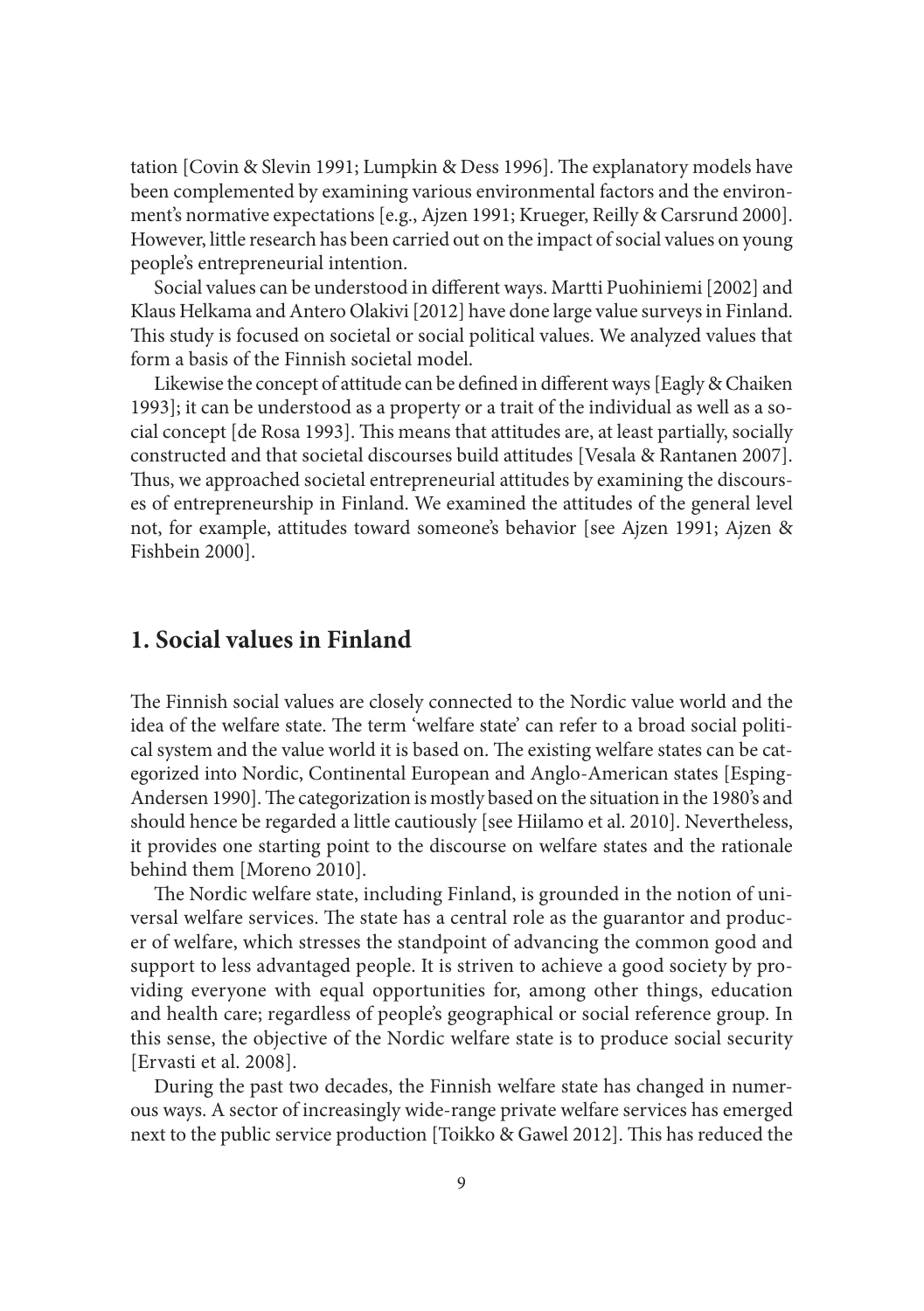tation [Covin & Slevin 1991; Lumpkin & Dess 1996]. The explanatory models have been complemented by examining various environmental factors and the environment's normative expectations [e.g., Ajzen 1991; Krueger, Reilly & Carsrund 2000]. However, little research has been carried out on the impact of social values on young people's entrepreneurial intention.

Social values can be understood in different ways. Martti Puohiniemi [2002] and Klaus Helkama and Antero Olakivi [2012] have done large value surveys in Finland. This study is focused on societal or social political values. We analyzed values that form a basis of the Finnish societal model.

Likewise the concept of attitude can be defined in different ways [Eagly & Chaiken 1993]; it can be understood as a property or a trait of the individual as well as a social concept [de Rosa 1993]. This means that attitudes are, at least partially, socially constructed and that societal discourses build attitudes [Vesala & Rantanen 2007]. Thus, we approached societal entrepreneurial attitudes by examining the discourses of entrepreneurship in Finland. We examined the attitudes of the general level not, for example, attitudes toward someone's behavior [see Ajzen 1991; Ajzen & Fishbein 2000].

# **1. Social values in Finland**

The Finnish social values are closely connected to the Nordic value world and the idea of the welfare state. The term 'welfare state' can refer to a broad social political system and the value world it is based on. The existing welfare states can be categorized into Nordic, Continental European and Anglo-American states [Esping-Andersen 1990]. The categorization is mostly based on the situation in the 1980's and should hence be regarded a little cautiously [see Hiilamo et al. 2010]. Nevertheless, it provides one starting point to the discourse on welfare states and the rationale behind them [Moreno 2010].

The Nordic welfare state, including Finland, is grounded in the notion of universal welfare services. The state has a central role as the guarantor and producer of welfare, which stresses the standpoint of advancing the common good and support to less advantaged people. It is striven to achieve a good society by providing everyone with equal opportunities for, among other things, education and health care; regardless of people's geographical or social reference group. In this sense, the objective of the Nordic welfare state is to produce social security [Ervasti et al. 2008].

During the past two decades, the Finnish welfare state has changed in numerous ways. A sector of increasingly wide-range private welfare services has emerged next to the public service production [Toikko & Gawel 2012]. This has reduced the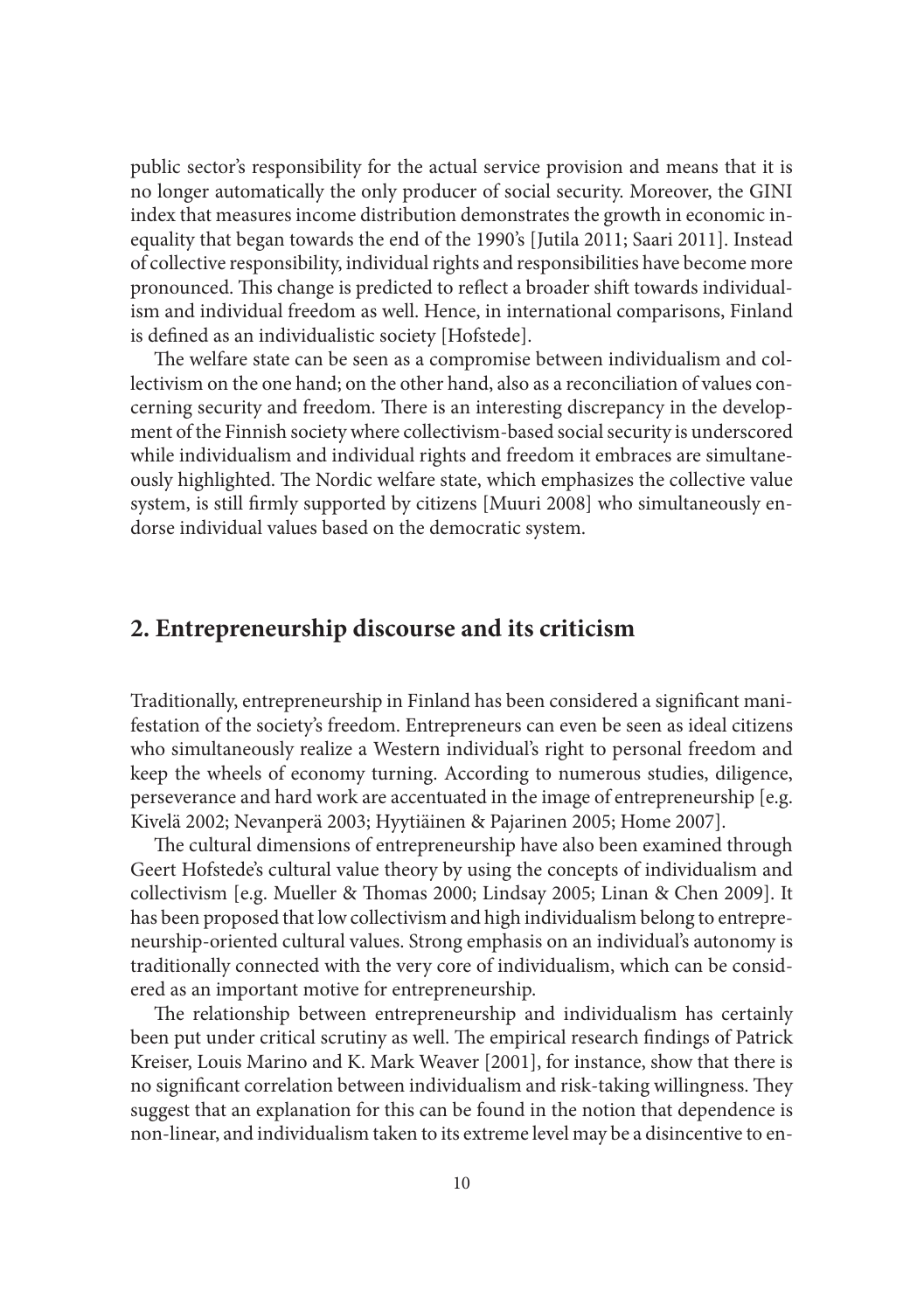public sector's responsibility for the actual service provision and means that it is no longer automatically the only producer of social security. Moreover, the GINI index that measures income distribution demonstrates the growth in economic inequality that began towards the end of the 1990's [Jutila 2011; Saari 2011]. Instead of collective responsibility, individual rights and responsibilities have become more pronounced. This change is predicted to reflect a broader shift towards individualism and individual freedom as well. Hence, in international comparisons, Finland is defined as an individualistic society [Hofstede].

The welfare state can be seen as a compromise between individualism and collectivism on the one hand; on the other hand, also as a reconciliation of values concerning security and freedom. There is an interesting discrepancy in the development of the Finnish society where collectivism-based social security is underscored while individualism and individual rights and freedom it embraces are simultaneously highlighted. The Nordic welfare state, which emphasizes the collective value system, is still firmly supported by citizens [Muuri 2008] who simultaneously endorse individual values based on the democratic system.

## **2. Entrepreneurship discourse and its criticism**

Traditionally, entrepreneurship in Finland has been considered a significant manifestation of the society's freedom. Entrepreneurs can even be seen as ideal citizens who simultaneously realize a Western individual's right to personal freedom and keep the wheels of economy turning. According to numerous studies, diligence, perseverance and hard work are accentuated in the image of entrepreneurship [e.g. Kivelä 2002; Nevanperä 2003; Hyytiäinen & Pajarinen 2005; Home 2007].

The cultural dimensions of entrepreneurship have also been examined through Geert Hofstede's cultural value theory by using the concepts of individualism and collectivism [e.g. Mueller & Thomas 2000; Lindsay 2005; Linan & Chen 2009]. It has been proposed that low collectivism and high individualism belong to entrepreneurship-oriented cultural values. Strong emphasis on an individual's autonomy is traditionally connected with the very core of individualism, which can be considered as an important motive for entrepreneurship.

The relationship between entrepreneurship and individualism has certainly been put under critical scrutiny as well. The empirical research findings of Patrick Kreiser, Louis Marino and K. Mark Weaver [2001], for instance, show that there is no significant correlation between individualism and risk-taking willingness. They suggest that an explanation for this can be found in the notion that dependence is non-linear, and individualism taken to its extreme level may be a disincentive to en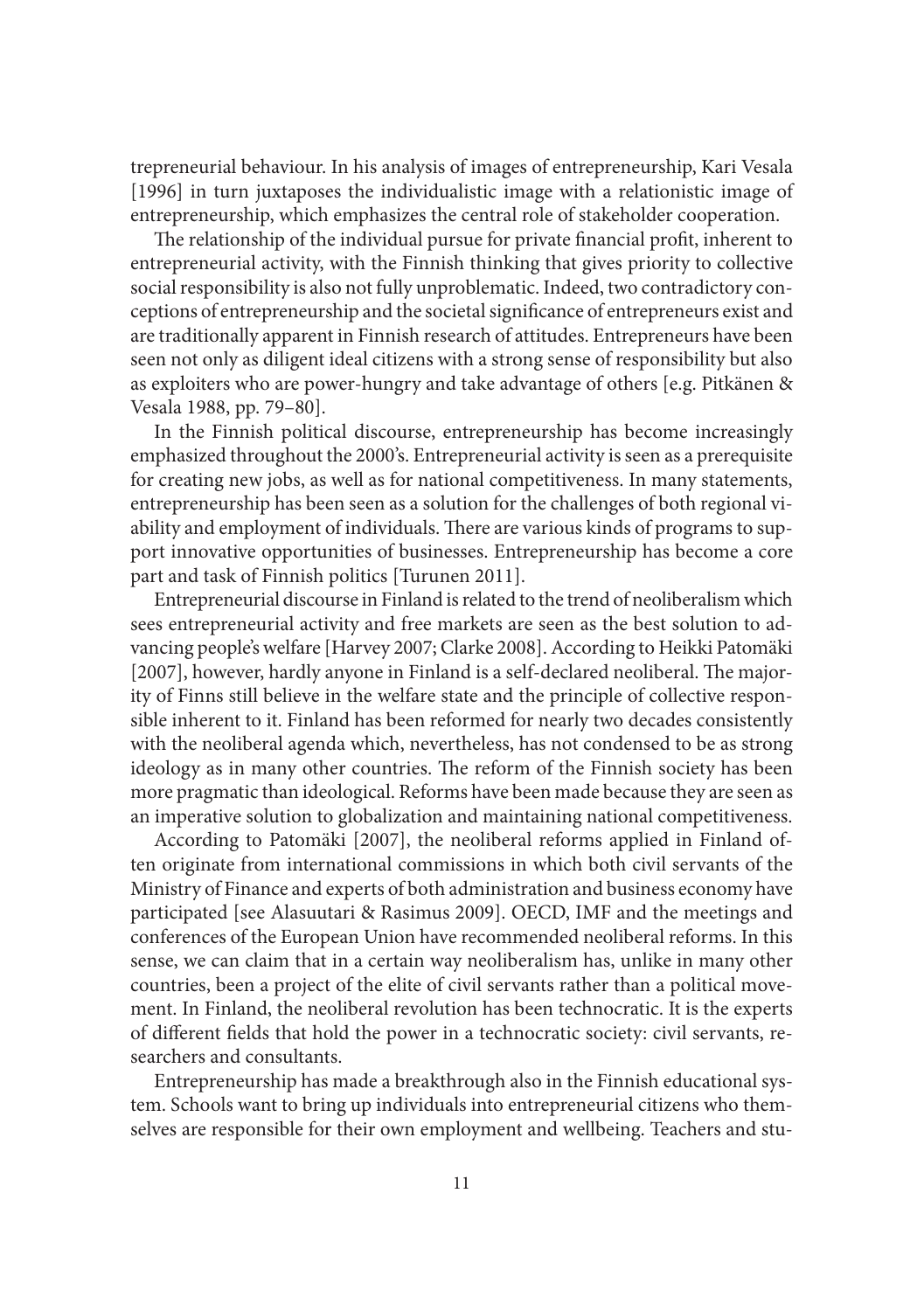trepreneurial behaviour. In his analysis of images of entrepreneurship, Kari Vesala [1996] in turn juxtaposes the individualistic image with a relationistic image of entrepreneurship, which emphasizes the central role of stakeholder cooperation.

The relationship of the individual pursue for private financial profit, inherent to entrepreneurial activity, with the Finnish thinking that gives priority to collective social responsibility is also not fully unproblematic. Indeed, two contradictory conceptions of entrepreneurship and the societal significance of entrepreneurs exist and are traditionally apparent in Finnish research of attitudes. Entrepreneurs have been seen not only as diligent ideal citizens with a strong sense of responsibility but also as exploiters who are power-hungry and take advantage of others [e.g. Pitkänen & Vesala 1988, pp. 79–80].

In the Finnish political discourse, entrepreneurship has become increasingly emphasized throughout the 2000's. Entrepreneurial activity is seen as a prerequisite for creating new jobs, as well as for national competitiveness. In many statements, entrepreneurship has been seen as a solution for the challenges of both regional viability and employment of individuals. There are various kinds of programs to support innovative opportunities of businesses. Entrepreneurship has become a core part and task of Finnish politics [Turunen 2011].

Entrepreneurial discourse in Finland is related to the trend of neoliberalism which sees entrepreneurial activity and free markets are seen as the best solution to advancing people's welfare [Harvey 2007; Clarke 2008]. According to Heikki Patomäki [2007], however, hardly anyone in Finland is a self-declared neoliberal. The majority of Finns still believe in the welfare state and the principle of collective responsible inherent to it. Finland has been reformed for nearly two decades consistently with the neoliberal agenda which, nevertheless, has not condensed to be as strong ideology as in many other countries. The reform of the Finnish society has been more pragmatic than ideological. Reforms have been made because they are seen as an imperative solution to globalization and maintaining national competitiveness.

According to Patomäki [2007], the neoliberal reforms applied in Finland often originate from international commissions in which both civil servants of the Ministry of Finance and experts of both administration and business economy have participated [see Alasuutari & Rasimus 2009]. OECD, IMF and the meetings and conferences of the European Union have recommended neoliberal reforms. In this sense, we can claim that in a certain way neoliberalism has, unlike in many other countries, been a project of the elite of civil servants rather than a political movement. In Finland, the neoliberal revolution has been technocratic. It is the experts of different fields that hold the power in a technocratic society: civil servants, researchers and consultants.

Entrepreneurship has made a breakthrough also in the Finnish educational system. Schools want to bring up individuals into entrepreneurial citizens who themselves are responsible for their own employment and wellbeing. Teachers and stu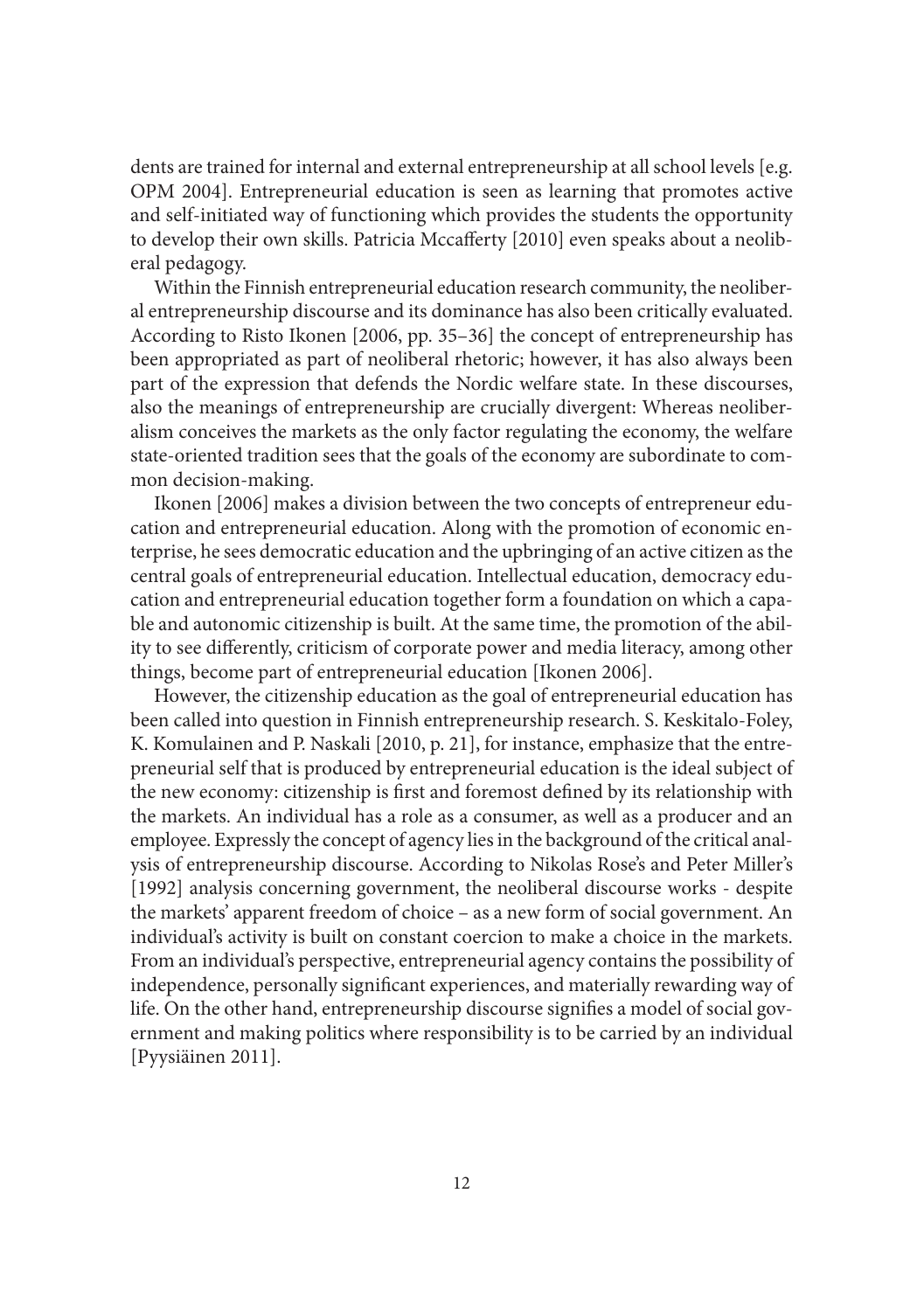dents are trained for internal and external entrepreneurship at all school levels [e.g. OPM 2004]. Entrepreneurial education is seen as learning that promotes active and self-initiated way of functioning which provides the students the opportunity to develop their own skills. Patricia Mccafferty [2010] even speaks about a neoliberal pedagogy.

Within the Finnish entrepreneurial education research community, the neoliberal entrepreneurship discourse and its dominance has also been critically evaluated. According to Risto Ikonen [2006, pp. 35–36] the concept of entrepreneurship has been appropriated as part of neoliberal rhetoric; however, it has also always been part of the expression that defends the Nordic welfare state. In these discourses, also the meanings of entrepreneurship are crucially divergent: Whereas neoliberalism conceives the markets as the only factor regulating the economy, the welfare state-oriented tradition sees that the goals of the economy are subordinate to common decision-making.

Ikonen [2006] makes a division between the two concepts of entrepreneur education and entrepreneurial education. Along with the promotion of economic enterprise, he sees democratic education and the upbringing of an active citizen as the central goals of entrepreneurial education. Intellectual education, democracy education and entrepreneurial education together form a foundation on which a capable and autonomic citizenship is built. At the same time, the promotion of the ability to see differently, criticism of corporate power and media literacy, among other things, become part of entrepreneurial education [Ikonen 2006].

However, the citizenship education as the goal of entrepreneurial education has been called into question in Finnish entrepreneurship research. S. Keskitalo -Foley, K. Komulainen and P. Naskali [2010, p. 21], for instance, emphasize that the entrepreneurial self that is produced by entrepreneurial education is the ideal subject of the new economy: citizenship is first and foremost defined by its relationship with the markets. An individual has a role as a consumer, as well as a producer and an employee. Expressly the concept of agency lies in the background of the critical analysis of entrepreneurship discourse. According to Nikolas Rose's and Peter Miller's [1992] analysis concerning government, the neoliberal discourse works - despite the markets' apparent freedom of choice – as a new form of social government. An individual's activity is built on constant coercion to make a choice in the markets. From an individual's perspective, entrepreneurial agency contains the possibility of independence, personally significant experiences, and materially rewarding way of life. On the other hand, entrepreneurship discourse signifies a model of social government and making politics where responsibility is to be carried by an individual [Pyysiäinen 2011].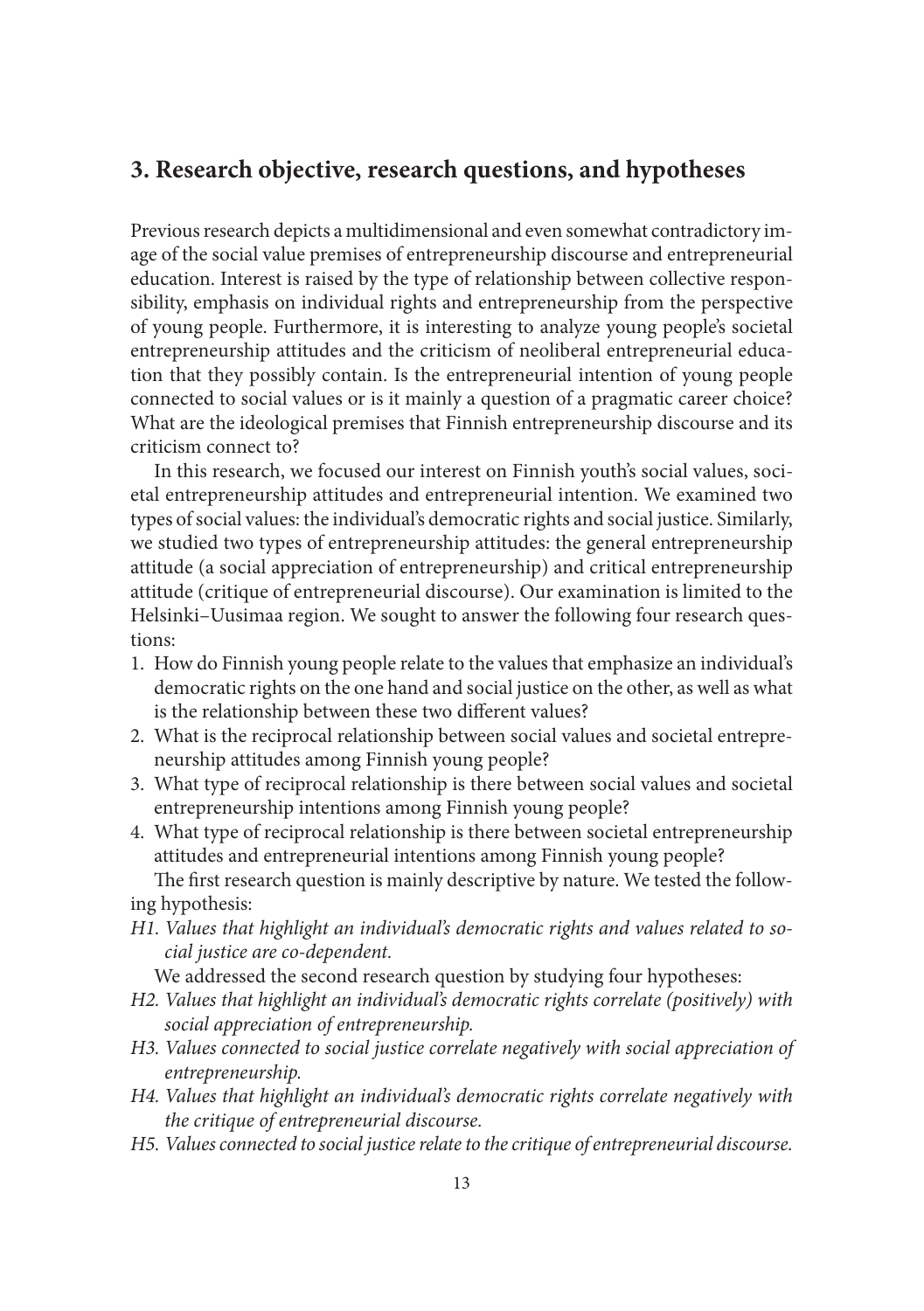# **3. Research objective, research questions, and hypotheses**

Previous research depicts a multidimensional and even somewhat contradictory image of the social value premises of entrepreneurship discourse and entrepreneurial education. Interest is raised by the type of relationship between collective responsibility, emphasis on individual rights and entrepreneurship from the perspective of young people. Furthermore, it is interesting to analyze young people's societal entrepreneurship attitudes and the criticism of neoliberal entrepreneurial education that they possibly contain. Is the entrepreneurial intention of young people connected to social values or is it mainly a question of a pragmatic career choice? What are the ideological premises that Finnish entrepreneurship discourse and its criticism connect to?

In this research, we focused our interest on Finnish youth's social values, societal entrepreneurship attitudes and entrepreneurial intention. We examined two types of social values: the individual's democratic rights and social justice. Similarly, we studied two types of entrepreneurship attitudes: the general entrepreneurship attitude (a social appreciation of entrepreneurship) and critical entrepreneurship attitude (critique of entrepreneurial discourse). Our examination is limited to the Helsinki–Uusimaa region. We sought to answer the following four research questions:

- 1. How do Finnish young people relate to the values that emphasize an individual's democratic rights on the one hand and social justice on the other, as well as what is the relationship between these two different values?
- 2. What is the reciprocal relationship between social values and societal entrepreneurship attitudes among Finnish young people?
- 3. What type of reciprocal relationship is there between social values and societal entrepreneurship intentions among Finnish young people?
- 4. What type of reciprocal relationship is there between societal entrepreneurship attitudes and entrepreneurial intentions among Finnish young people? The first research question is mainly descriptive by nature. We tested the follow-

ing hypothesis:

*H1. Values that highlight an individual's democratic rights and values related to social justice are co-dependent.*

We addressed the second research question by studying four hypotheses:

- *H2. Values that highlight an individual's democratic rights correlate (positively) with social appreciation of entrepreneurship.*
- *H3. Values connected to social justice correlate negatively with social appreciation of entrepreneurship.*
- *H4. Values that highlight an individual's democratic rights correlate negatively with the critique of entrepreneurial discourse.*
- *H5. Values connected to social justice relate to the critique of entrepreneurial discourse.*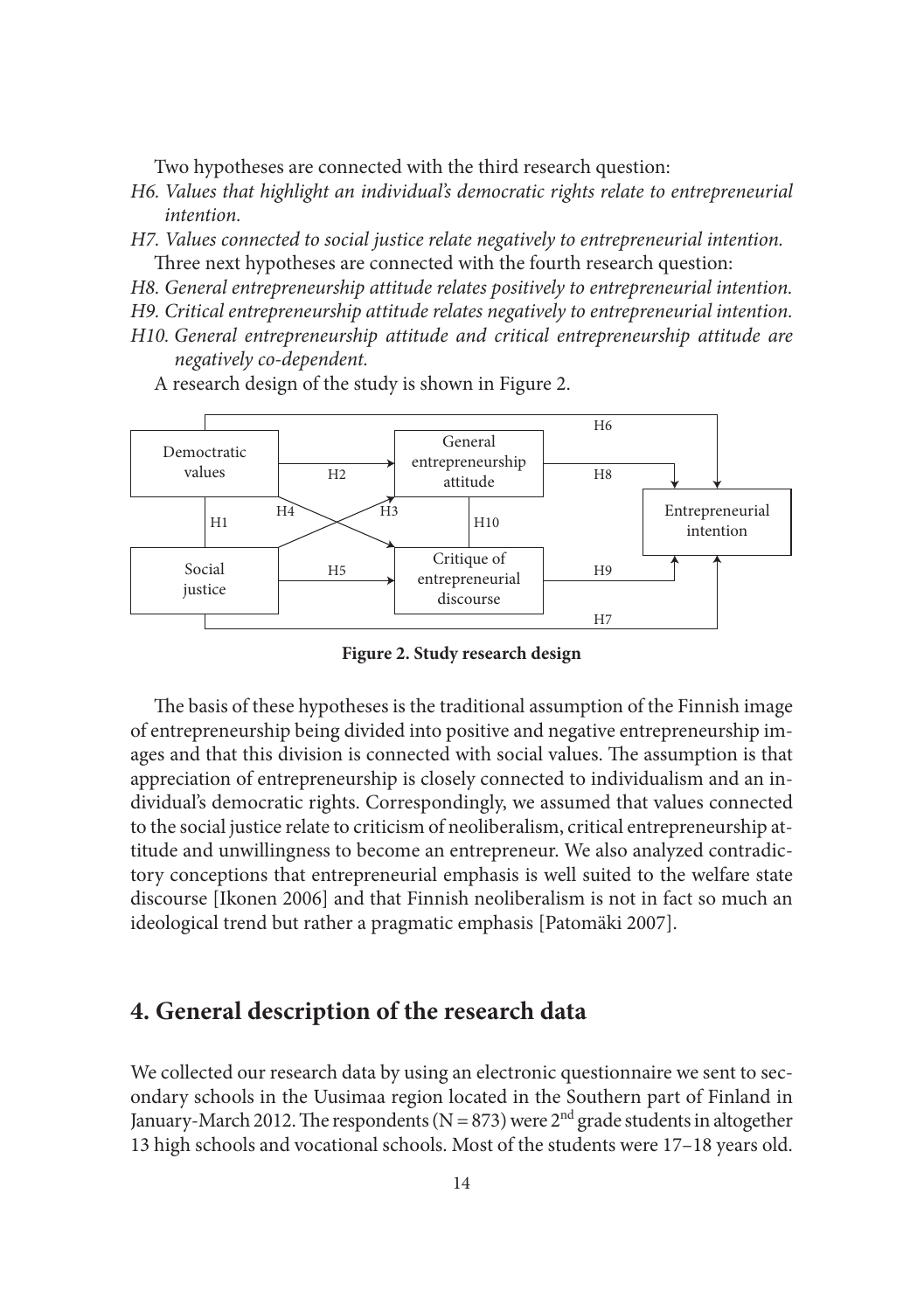Two hypotheses are connected with the third research question:

- *H6. Values that highlight an individual's democratic rights relate to entrepreneurial intention.*
- *H7. Values connected to social justice relate negatively to entrepreneurial intention.* Three next hypotheses are connected with the fourth research question:
- *H8. General entrepreneurship attitude relates positively to entrepreneurial intention.*
- *H9. Critical entrepreneurship attitude relates negatively to entrepreneurial intention.*
- *H10. General entrepreneurship attitude and critical entrepreneurship attitude are negatively co-dependent.*

A research design of the study is shown in Figure 2.



**Figure 2. Study research design**

The basis of these hypotheses is the traditional assumption of the Finnish image of entrepreneurship being divided into positive and negative entrepreneurship images and that this division is connected with social values. The assumption is that appreciation of entrepreneurship is closely connected to individualism and an individual's democratic rights. Correspondingly, we assumed that values connected to the social justice relate to criticism of neoliberalism, critical entrepreneurship attitude and unwillingness to become an entrepreneur. We also analyzed contradictory conceptions that entrepreneurial emphasis is well suited to the welfare state discourse [Ikonen 2006] and that Finnish neoliberalism is not in fact so much an ideological trend but rather a pragmatic emphasis [Patomäki 2007].

## **4. General description of the research data**

We collected our research data by using an electronic questionnaire we sent to secondary schools in the Uusimaa region located in the Southern part of Finland in January-March 2012. The respondents ( $N = 873$ ) were 2<sup>nd</sup> grade students in altogether 13 high schools and vocational schools. Most of the students were 17–18 years old.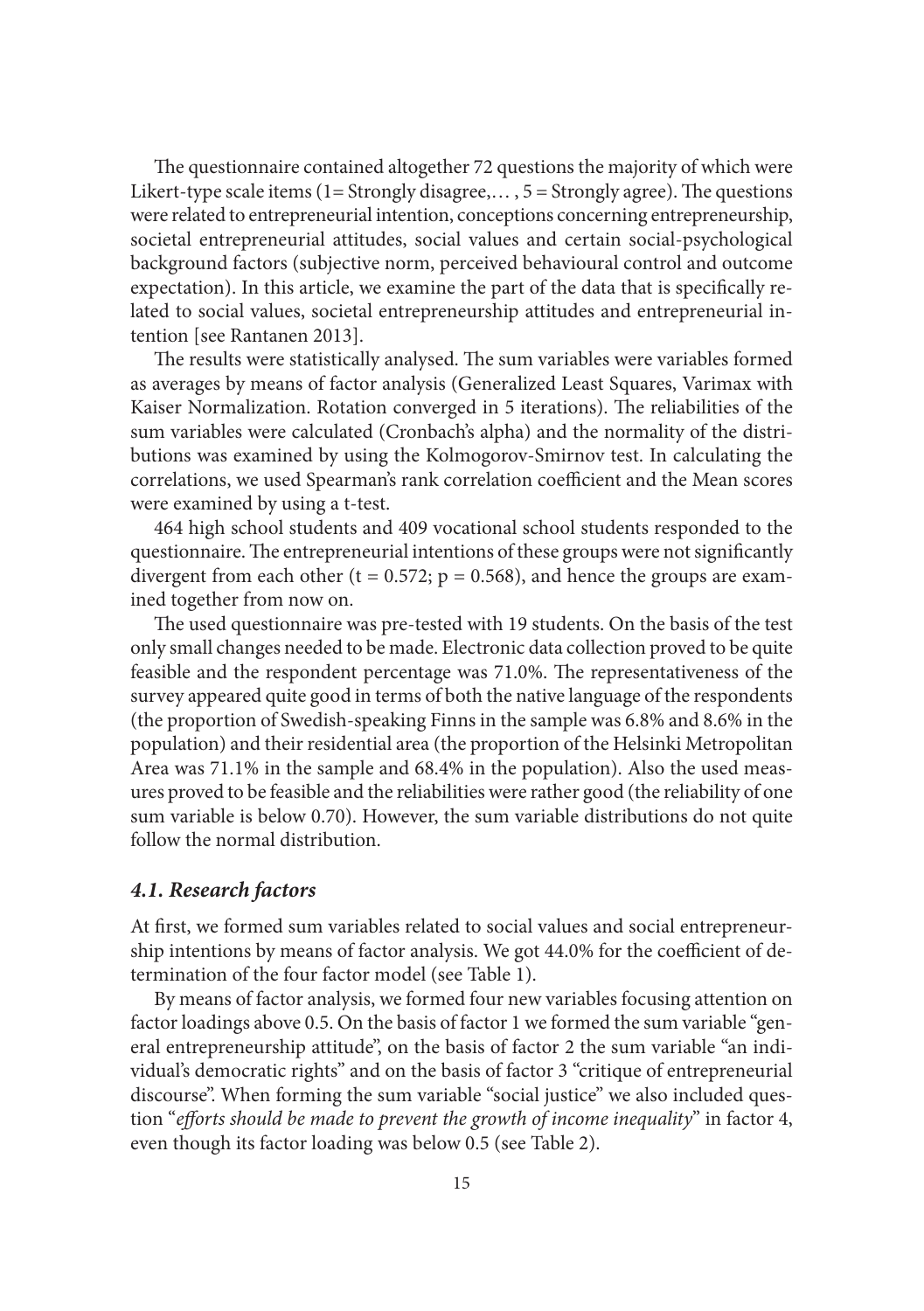The questionnaire contained altogether 72 questions the majority of which were Likert-type scale items (1= Strongly disagree,...,  $5 =$  Strongly agree). The questions were related to entrepreneurial intention, conceptions concerning entrepreneurship, societal entrepreneurial attitudes, social values and certain social-psychological background factors (subjective norm, perceived behavioural control and outcome expectation). In this article, we examine the part of the data that is specifically related to social values, societal entrepreneurship attitudes and entrepreneurial intention [see Rantanen 2013].

The results were statistically analysed. The sum variables were variables formed as averages by means of factor analysis (Generalized Least Squares, Varimax with Kaiser Normalization. Rotation converged in 5 iterations). The reliabilities of the sum variables were calculated (Cronbach's alpha) and the normality of the distributions was examined by using the Kolmogorov-Smirnov test. In calculating the correlations, we used Spearman's rank correlation coefficient and the Mean scores were examined by using a t-test.

464 high school students and 409 vocational school students responded to the questionnaire. The entrepreneurial intentions of these groups were not significantly divergent from each other (t = 0.572;  $p = 0.568$ ), and hence the groups are examined together from now on.

The used questionnaire was pre-tested with 19 students. On the basis of the test only small changes needed to be made. Electronic data collection proved to be quite feasible and the respondent percentage was 71.0%. The representativeness of the survey appeared quite good in terms of both the native language of the respondents (the proportion of Swedish-speaking Finns in the sample was 6.8% and 8.6% in the population) and their residential area (the proportion of the Helsinki Metropolitan Area was 71.1% in the sample and 68.4% in the population). Also the used measures proved to be feasible and the reliabilities were rather good (the reliability of one sum variable is below 0.70). However, the sum variable distributions do not quite follow the normal distribution.

#### *4.1. Research factors*

At first, we formed sum variables related to social values and social entrepreneurship intentions by means of factor analysis. We got 44.0% for the coefficient of determination of the four factor model (see Table 1).

By means of factor analysis, we formed four new variables focusing attention on factor loadings above 0.5. On the basis of factor 1 we formed the sum variable "general entrepreneurship attitude", on the basis of factor 2 the sum variable "an individual's democratic rights" and on the basis of factor 3 "critique of entrepreneurial discourse". When forming the sum variable "social justice" we also included question "*efforts should be made to prevent the growth of income inequality*" in factor 4, even though its factor loading was below 0.5 (see Table 2).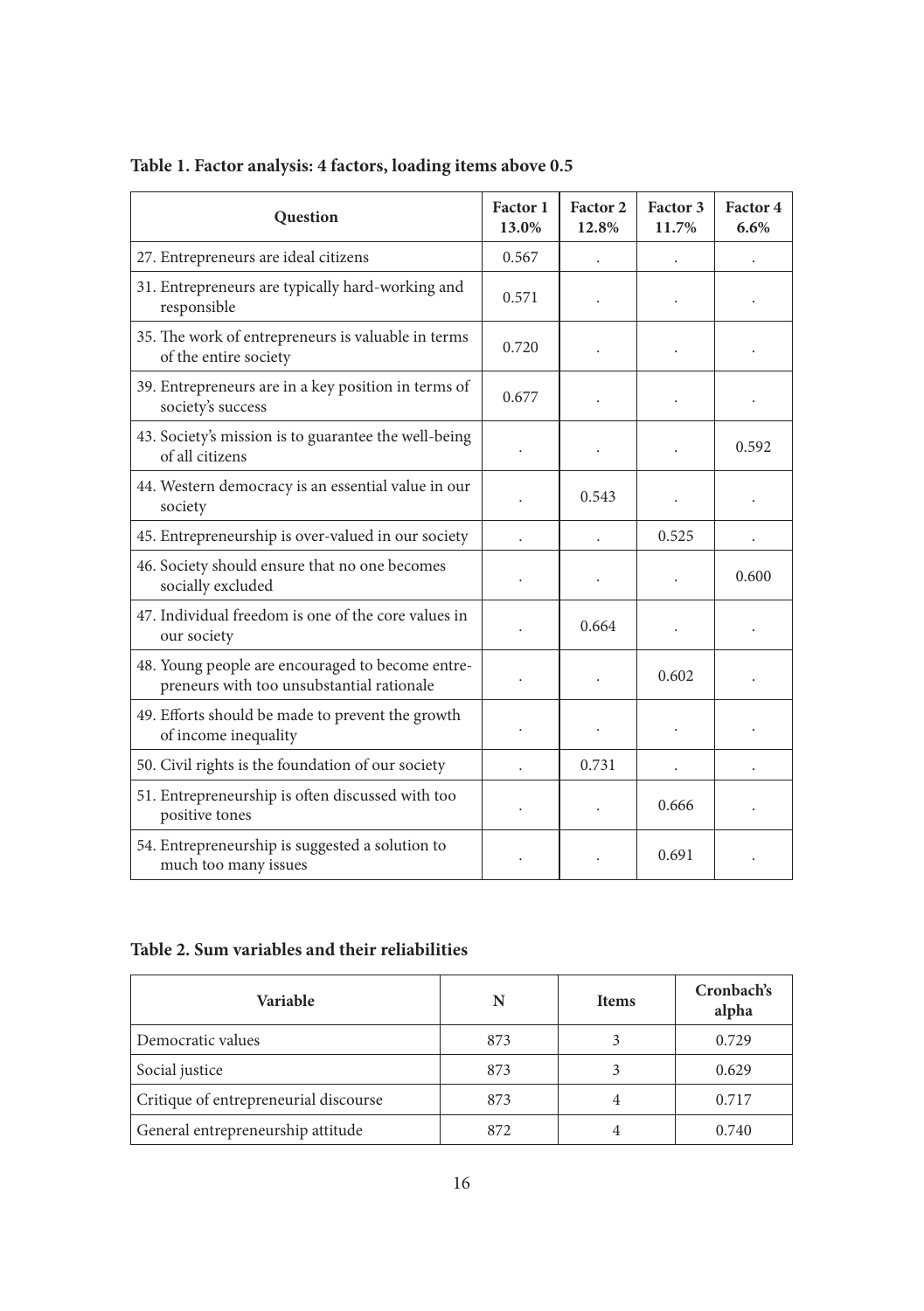| <b>Question</b>                                                                               | Factor 1<br>13.0% | Factor 2<br>12.8% | Factor 3<br>11.7% | Factor 4<br>6.6% |
|-----------------------------------------------------------------------------------------------|-------------------|-------------------|-------------------|------------------|
| 27. Entrepreneurs are ideal citizens                                                          | 0.567             |                   |                   |                  |
| 31. Entrepreneurs are typically hard-working and<br>responsible                               | 0.571             |                   |                   |                  |
| 35. The work of entrepreneurs is valuable in terms<br>of the entire society                   | 0.720             |                   |                   |                  |
| 39. Entrepreneurs are in a key position in terms of<br>society's success                      | 0.677             |                   |                   |                  |
| 43. Society's mission is to guarantee the well-being<br>of all citizens                       |                   |                   |                   | 0.592            |
| 44. Western democracy is an essential value in our<br>society                                 |                   | 0.543             |                   |                  |
| 45. Entrepreneurship is over-valued in our society                                            |                   |                   | 0.525             |                  |
| 46. Society should ensure that no one becomes<br>socially excluded                            |                   |                   |                   | 0.600            |
| 47. Individual freedom is one of the core values in<br>our society                            |                   | 0.664             |                   |                  |
| 48. Young people are encouraged to become entre-<br>preneurs with too unsubstantial rationale |                   |                   | 0.602             |                  |
| 49. Efforts should be made to prevent the growth<br>of income inequality                      |                   |                   |                   |                  |
| 50. Civil rights is the foundation of our society                                             |                   | 0.731             |                   |                  |
| 51. Entrepreneurship is often discussed with too<br>positive tones                            | $\bullet$         |                   | 0.666             |                  |
| 54. Entrepreneurship is suggested a solution to<br>much too many issues                       |                   |                   | 0.691             |                  |

# **Table 1. Factor analysis: 4 factors, loading items above 0.5**

# **Table 2. Sum variables and their reliabilities**

| <b>Variable</b>                       | N   | <b>Items</b> | Cronbach's<br>alpha |
|---------------------------------------|-----|--------------|---------------------|
| Democratic values                     | 873 |              | 0.729               |
| Social justice                        | 873 |              | 0.629               |
| Critique of entrepreneurial discourse | 873 |              | 0.717               |
| General entrepreneurship attitude     | 872 |              | 0.740               |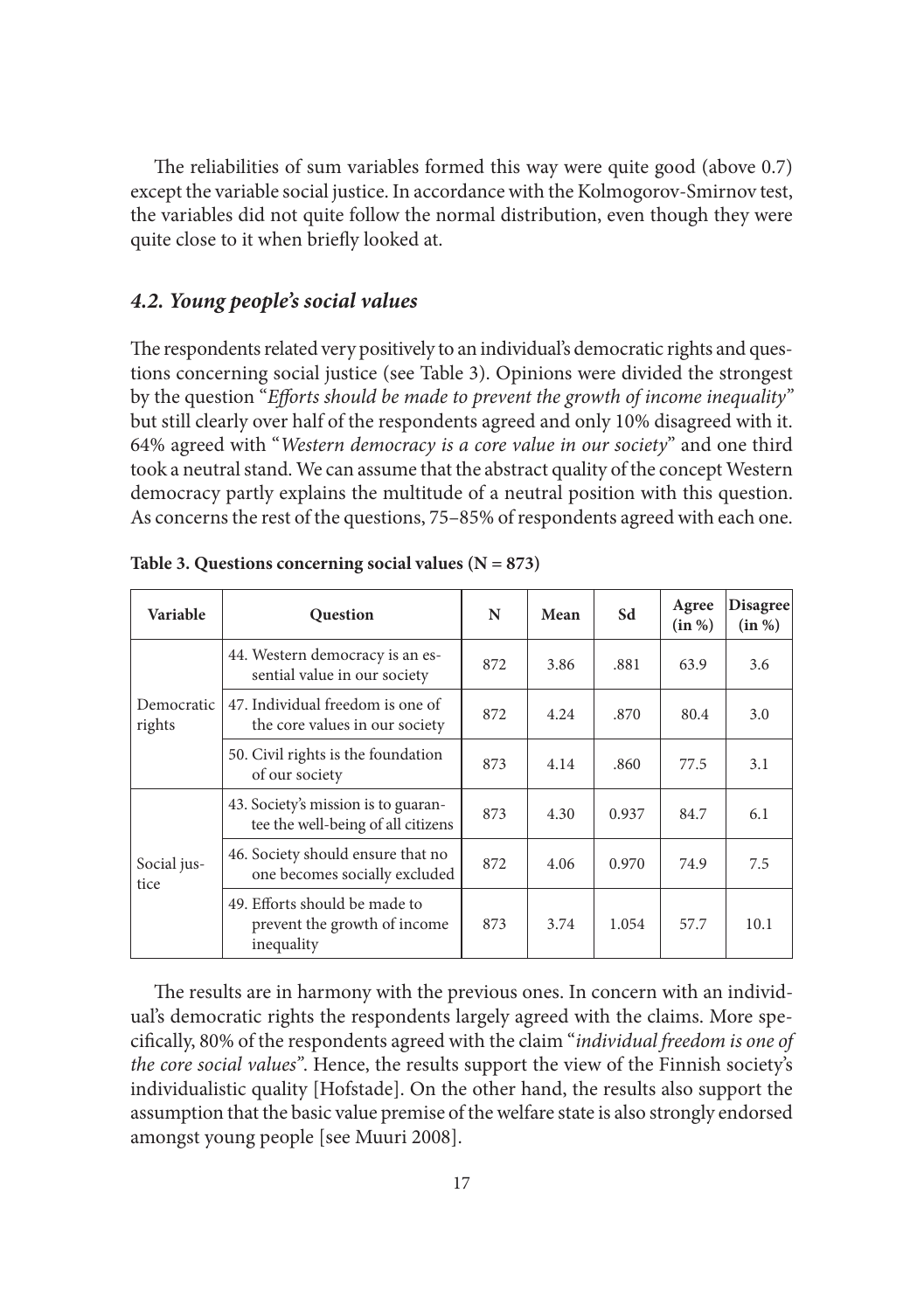The reliabilities of sum variables formed this way were quite good (above 0.7) except the variable social justice. In accordance with the Kolmogorov-Smirnov test, the variables did not quite follow the normal distribution, even though they were quite close to it when briefly looked at.

#### *4.2. Young people's social values*

The respondents related very positively to an individual's democratic rights and questions concerning social justice (see Table 3). Opinions were divided the strongest by the question "*Efforts should be made to prevent the growth of income inequality*" but still clearly over half of the respondents agreed and only 10% disagreed with it. 64% agreed with "*Western democracy is a core value in our society*" and one third took a neutral stand. We can assume that the abstract quality of the concept Western democracy partly explains the multitude of a neutral position with this question. As concerns the rest of the questions, 75–85% of respondents agreed with each one.

| <b>Variable</b>      | <b>Question</b>                                                             | N   | Mean | Sd    | Agree<br>(in %) | <b>Disagree</b><br>(in %) |
|----------------------|-----------------------------------------------------------------------------|-----|------|-------|-----------------|---------------------------|
|                      | 44. Western democracy is an es-<br>sential value in our society             | 872 | 3.86 | .881  | 63.9            | 3.6                       |
| Democratic<br>rights | 47. Individual freedom is one of<br>the core values in our society          | 872 | 4.24 | .870  | 80.4            | 3.0                       |
|                      | 50. Civil rights is the foundation<br>of our society                        | 873 | 4.14 | .860  | 77.5            | 3.1                       |
|                      | 43. Society's mission is to guaran-<br>tee the well-being of all citizens   | 873 | 4.30 | 0.937 | 84.7            | 6.1                       |
| Social jus-<br>tice  | 46. Society should ensure that no<br>one becomes socially excluded          | 872 | 4.06 | 0.970 | 74.9            | 7.5                       |
|                      | 49. Efforts should be made to<br>prevent the growth of income<br>inequality | 873 | 3.74 | 1.054 | 57.7            | 10.1                      |

| Table 3. Questions concerning social values $(N = 873)$ |  |  |  |
|---------------------------------------------------------|--|--|--|
|---------------------------------------------------------|--|--|--|

The results are in harmony with the previous ones. In concern with an individual's democratic rights the respondents largely agreed with the claims. More specifi cally, 80% of the respondents agreed with the claim "*individual freedom is one of the core social values"*. Hence, the results support the view of the Finnish society's individualistic quality [Hofstade]. On the other hand, the results also support the assumption that the basic value premise of the welfare state is also strongly endorsed amongst young people [see Muuri 2008].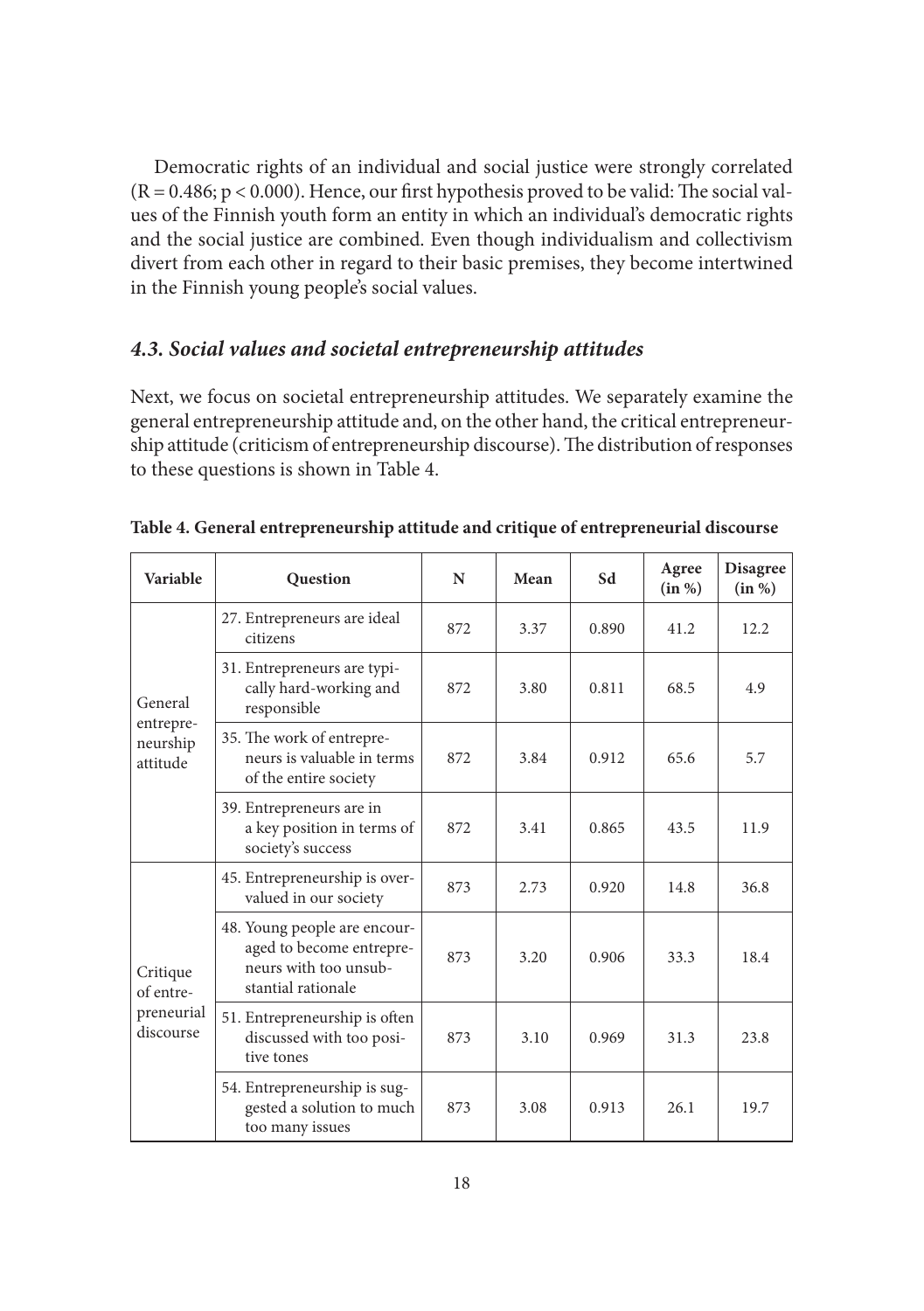Democratic rights of an individual and social justice were strongly correlated  $(R = 0.486; p < 0.000)$ . Hence, our first hypothesis proved to be valid: The social values of the Finnish youth form an entity in which an individual's democratic rights and the social justice are combined. Even though individualism and collectivism divert from each other in regard to their basic premises, they become intertwined in the Finnish young people's social values.

## *4.3. Social values and societal entrepreneurship attitudes*

Next, we focus on societal entrepreneurship attitudes. We separately examine the general entrepreneurship attitude and, on the other hand, the critical entrepreneurship attitude (criticism of entrepreneurship discourse). The distribution of responses to these questions is shown in Table 4.

| <b>Variable</b>                   | <b>Question</b>                                                                                         | N   | Mean | Sd    | Agree<br>(in %) | <b>Disagree</b><br>(in %) |
|-----------------------------------|---------------------------------------------------------------------------------------------------------|-----|------|-------|-----------------|---------------------------|
|                                   | 27. Entrepreneurs are ideal<br>citizens                                                                 | 872 | 3.37 | 0.890 | 41.2            | 12.2                      |
| General                           | 31. Entrepreneurs are typi-<br>cally hard-working and<br>responsible                                    | 872 | 3.80 | 0.811 | 68.5            | 4.9                       |
| entrepre-<br>neurship<br>attitude | 35. The work of entrepre-<br>neurs is valuable in terms<br>of the entire society                        | 872 | 3.84 | 0.912 | 65.6            | 5.7                       |
|                                   | 39. Entrepreneurs are in<br>a key position in terms of<br>society's success                             | 872 | 3.41 | 0.865 | 43.5            | 11.9                      |
|                                   | 45. Entrepreneurship is over-<br>valued in our society                                                  | 873 | 2.73 | 0.920 | 14.8            | 36.8                      |
| Critique<br>of entre-             | 48. Young people are encour-<br>aged to become entrepre-<br>neurs with too unsub-<br>stantial rationale | 873 | 3.20 | 0.906 | 33.3            | 18.4                      |
| preneurial<br>discourse           | 51. Entrepreneurship is often<br>discussed with too posi-<br>tive tones                                 | 873 | 3.10 | 0.969 | 31.3            | 23.8                      |
|                                   | 54. Entrepreneurship is sug-<br>gested a solution to much<br>too many issues                            | 873 | 3.08 | 0.913 | 26.1            | 19.7                      |

**Table 4. General entrepreneurship attitude and critique of entrepreneurial discourse**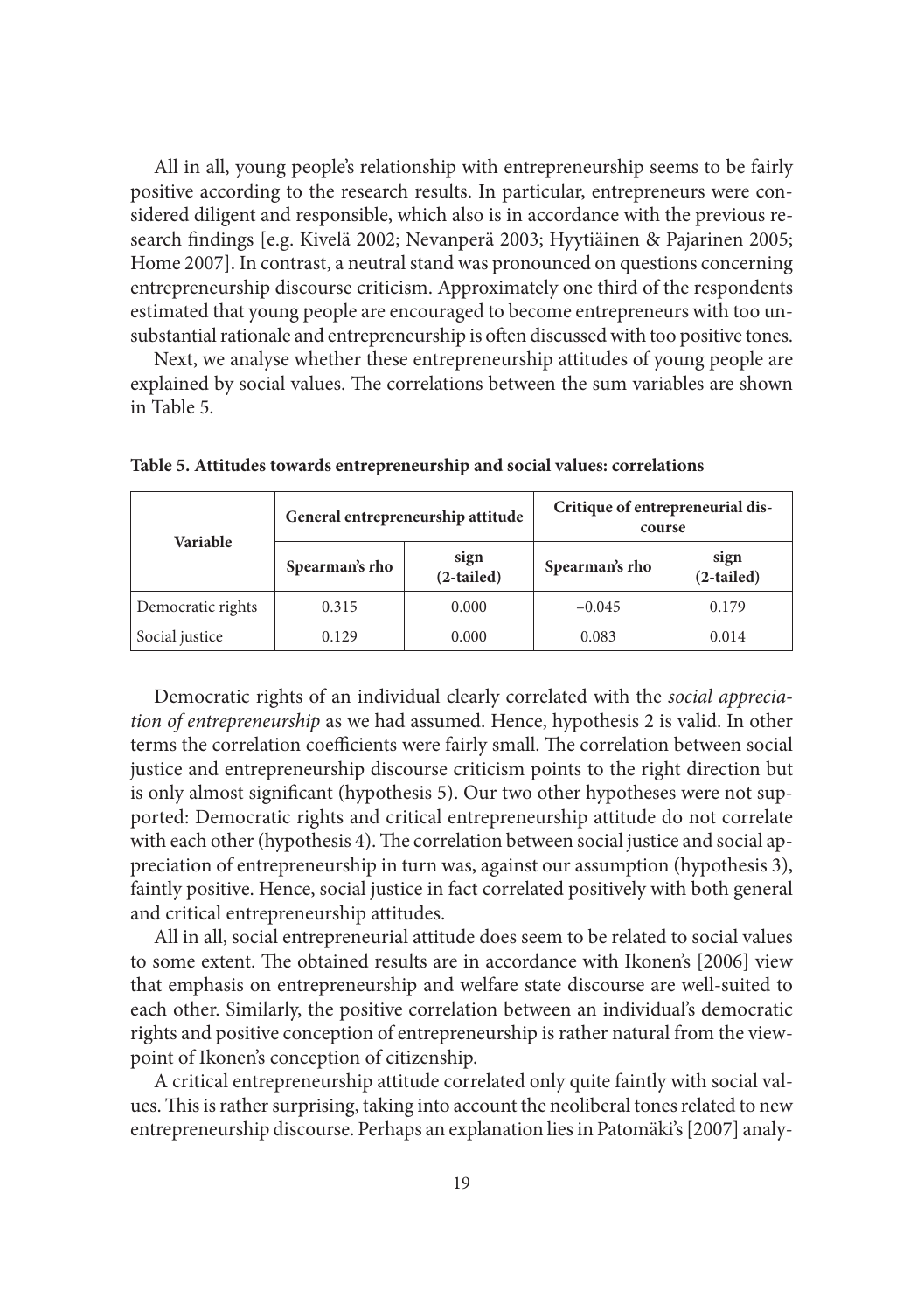All in all, young people's relationship with entrepreneurship seems to be fairly positive according to the research results. In particular, entrepreneurs were considered diligent and responsible, which also is in accordance with the previous research findings [e.g. Kivelä 2002; Nevanperä 2003; Hyytiäinen & Pajarinen 2005; Home 2007]. In contrast, a neutral stand was pronounced on questions concerning entrepreneurship discourse criticism. Approximately one third of the respondents estimated that young people are encouraged to become entrepreneurs with too unsubstantial rationale and entrepreneurship is often discussed with too positive tones.

Next, we analyse whether these entrepreneurship attitudes of young people are explained by social values. The correlations between the sum variables are shown in Table 5.

| Variable          |                | General entrepreneurship attitude | Critique of entrepreneurial dis-<br>course |                      |  |
|-------------------|----------------|-----------------------------------|--------------------------------------------|----------------------|--|
|                   | Spearman's rho | sign<br>$(2-tailed)$              | Spearman's rho                             | sign<br>$(2-tailed)$ |  |
| Democratic rights | 0.315          | 0.000                             | $-0.045$                                   | 0.179                |  |
| Social justice    | 0.129          | 0.000                             | 0.083                                      | 0.014                |  |

**Table 5. Attitudes towards entrepreneurship and social values: correlations**

Democratic rights of an individual clearly correlated with the *social appreciation of entrepreneurship* as we had assumed. Hence, hypothesis 2 is valid. In other terms the correlation coefficients were fairly small. The correlation between social justice and entrepreneurship discourse criticism points to the right direction but is only almost significant (hypothesis 5). Our two other hypotheses were not supported: Democratic rights and critical entrepreneurship attitude do not correlate with each other (hypothesis 4). The correlation between social justice and social appreciation of entrepreneurship in turn was, against our assumption (hypothesis 3), faintly positive. Hence, social justice in fact correlated positively with both general and critical entrepreneurship attitudes.

All in all, social entrepreneurial attitude does seem to be related to social values to some extent. The obtained results are in accordance with Ikonen's [2006] view that emphasis on entrepreneurship and welfare state discourse are well-suited to each other. Similarly, the positive correlation between an individual's democratic rights and positive conception of entrepreneurship is rather natural from the viewpoint of Ikonen's conception of citizenship.

A critical entrepreneurship attitude correlated only quite faintly with social values. This is rather surprising, taking into account the neoliberal tones related to new entrepreneurship discourse. Perhaps an explanation lies in Patomäki's [2007] analy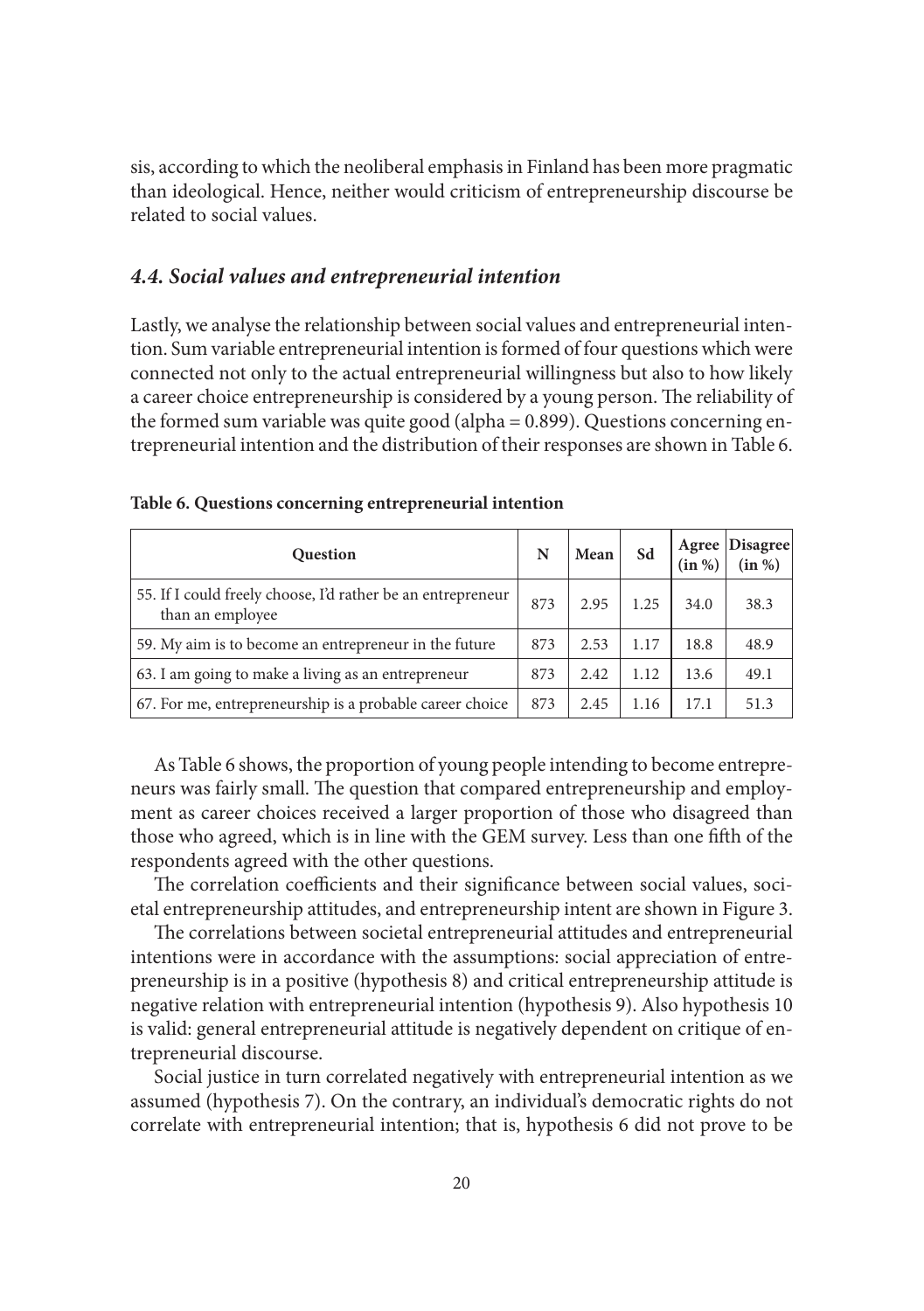sis, according to which the neoliberal emphasis in Finland has been more pragmatic than ideological. Hence, neither would criticism of entrepreneurship discourse be related to social values.

#### *4.4. Social values and entrepreneurial intention*

Lastly, we analyse the relationship between social values and entrepreneurial intention. Sum variable entrepreneurial intention is formed of four questions which were connected not only to the actual entrepreneurial willingness but also to how likely a career choice entrepreneurship is considered by a young person. The reliability of the formed sum variable was quite good (alpha = 0.899). Questions concerning entrepreneurial intention and the distribution of their responses are shown in Table 6.

| <b>Question</b>                                                                 | N   | Mean | Sd   | <b>Agree</b><br>(in %) | Disagree |
|---------------------------------------------------------------------------------|-----|------|------|------------------------|----------|
| 55. If I could freely choose, I'd rather be an entrepreneur<br>than an employee | 873 | 2.95 | 1.25 | 34.0                   | 38.3     |
| 59. My aim is to become an entrepreneur in the future                           | 873 | 2.53 | 1.17 | 18.8                   | 48.9     |
| 63. I am going to make a living as an entrepreneur                              | 873 | 2.42 | 1.12 | 13.6                   | 49.1     |
| 67. For me, entrepreneurship is a probable career choice                        | 873 | 2.45 | 1.16 | 17.1                   | 51.3     |

|  |  |  |  |  | Table 6. Questions concerning entrepreneurial intention |  |
|--|--|--|--|--|---------------------------------------------------------|--|
|--|--|--|--|--|---------------------------------------------------------|--|

As Table 6 shows, the proportion of young people intending to become entrepreneurs was fairly small. The question that compared entrepreneurship and employment as career choices received a larger proportion of those who disagreed than those who agreed, which is in line with the GEM survey. Less than one fifth of the respondents agreed with the other questions.

The correlation coefficients and their significance between social values, societal entrepreneurship attitudes, and entrepreneurship intent are shown in Figure 3.

The correlations between societal entrepreneurial attitudes and entrepreneurial intentions were in accordance with the assumptions: social appreciation of entrepreneurship is in a positive (hypothesis 8) and critical entrepreneurship attitude is negative relation with entrepreneurial intention (hypothesis 9). Also hypothesis 10 is valid: general entrepreneurial attitude is negatively dependent on critique of entrepreneurial discourse.

Social justice in turn correlated negatively with entrepreneurial intention as we assumed (hypothesis 7). On the contrary, an individual's democratic rights do not correlate with entrepreneurial intention; that is, hypothesis 6 did not prove to be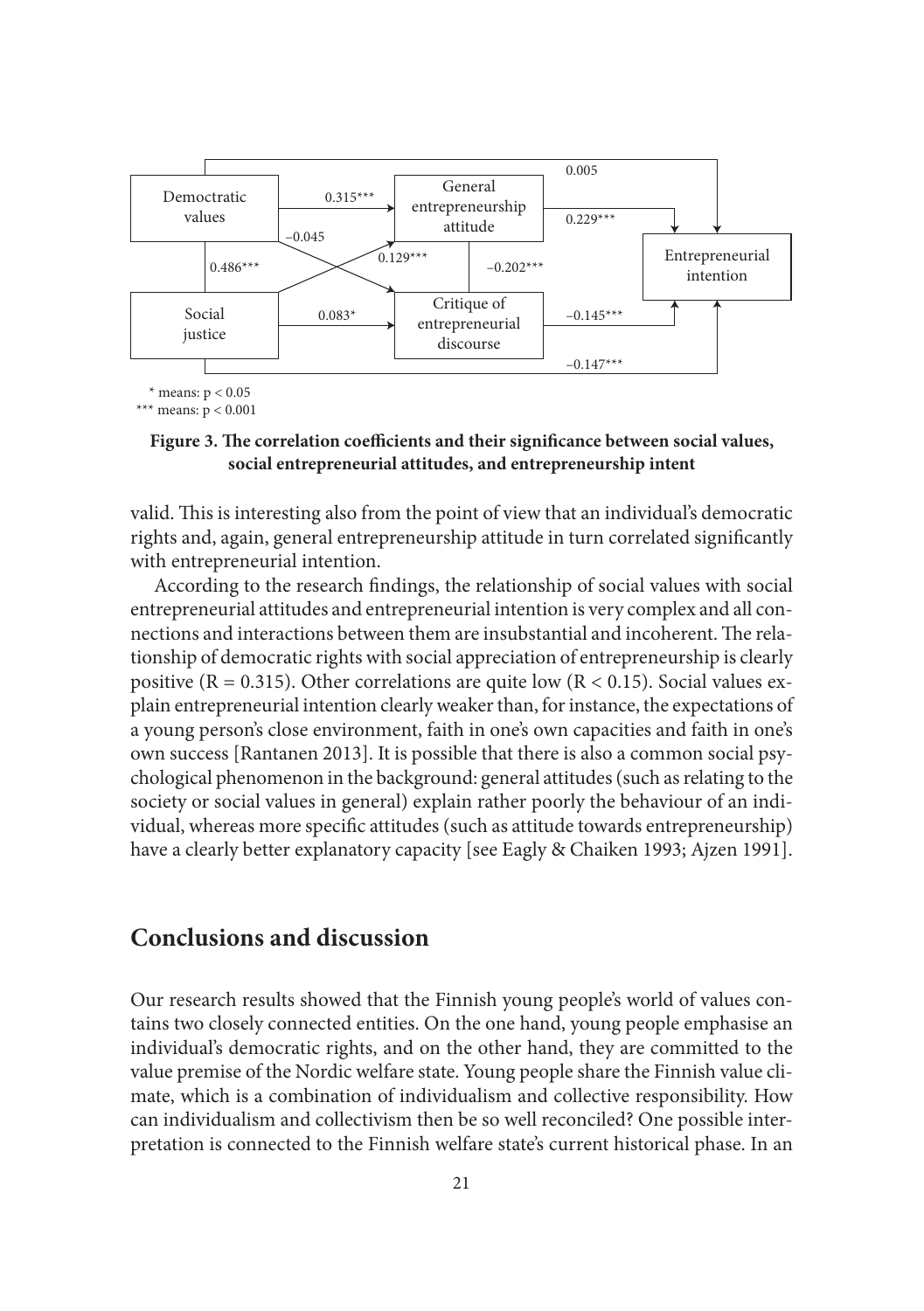

#### Figure 3. The correlation coefficients and their significance between social values, **social entrepreneurial attitudes, and entrepreneurship intent**

valid. This is interesting also from the point of view that an individual's democratic rights and, again, general entrepreneurship attitude in turn correlated significantly with entrepreneurial intention.

According to the research findings, the relationship of social values with social entrepreneurial attitudes and entrepreneurial intention is very complex and all connections and interactions between them are insubstantial and incoherent. The relationship of democratic rights with social appreciation of entrepreneurship is clearly positive ( $R = 0.315$ ). Other correlations are quite low ( $R < 0.15$ ). Social values explain entrepreneurial intention clearly weaker than, for instance, the expectations of a young person's close environment, faith in one's own capacities and faith in one's own success [Rantanen 2013]. It is possible that there is also a common social psychological phenomenon in the background: general attitudes (such as relating to the society or social values in general) explain rather poorly the behaviour of an individual, whereas more specific attitudes (such as attitude towards entrepreneurship) have a clearly better explanatory capacity [see Eagly & Chaiken 1993; Ajzen 1991].

## **Conclusions and discussion**

Our research results showed that the Finnish young people's world of values contains two closely connected entities. On the one hand, young people emphasise an individual's democratic rights, and on the other hand, they are committed to the value premise of the Nordic welfare state. Young people share the Finnish value climate, which is a combination of individualism and collective responsibility. How can individualism and collectivism then be so well reconciled? One possible interpretation is connected to the Finnish welfare state's current historical phase. In an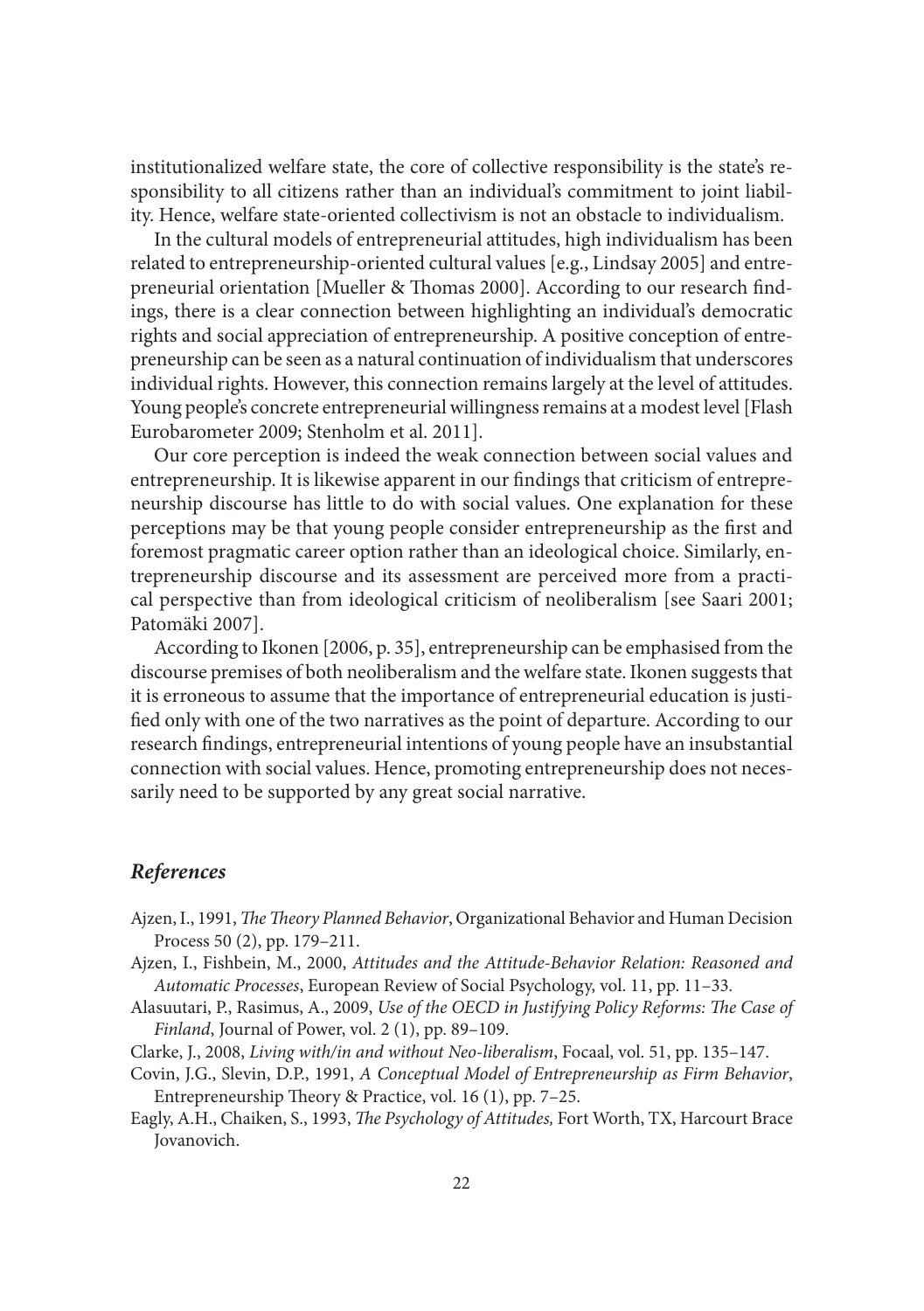institutionalized welfare state, the core of collective responsibility is the state's responsibility to all citizens rather than an individual's commitment to joint liability. Hence, welfare state-oriented collectivism is not an obstacle to individualism.

In the cultural models of entrepreneurial attitudes, high individualism has been related to entrepreneurship-oriented cultural values [e.g., Lindsay 2005] and entrepreneurial orientation [Mueller & Thomas 2000]. According to our research findings, there is a clear connection between highlighting an individual's democratic rights and social appreciation of entrepreneurship. A positive conception of entrepreneurship can be seen as a natural continuation of individualism that underscores individual rights. However, this connection remains largely at the level of attitudes. Young people's concrete entrepreneurial willingness remains at a modest level [Flash Eurobarometer 2009; Stenholm et al. 2011].

Our core perception is indeed the weak connection between social values and entrepreneurship. It is likewise apparent in our findings that criticism of entrepreneurship discourse has little to do with social values. One explanation for these perceptions may be that young people consider entrepreneurship as the first and foremost pragmatic career option rather than an ideological choice. Similarly, entrepreneurship discourse and its assessment are perceived more from a practical perspective than from ideological criticism of neoliberalism [see Saari 2001; Patomäki 2007].

According to Ikonen [2006, p. 35], entrepreneurship can be emphasised from the discourse premises of both neoliberalism and the welfare state. Ikonen suggests that it is erroneous to assume that the importance of entrepreneurial education is justified only with one of the two narratives as the point of departure. According to our research findings, entrepreneurial intentions of young people have an insubstantial connection with social values. Hence, promoting entrepreneurship does not necessarily need to be supported by any great social narrative.

#### *References*

- Ajzen, I., 1991, *The Theory Planned Behavior*, Organizational Behavior and Human Decision Process 50 (2), pp. 179–211.
- Ajzen, I., Fishbein, M., 2000, *Attitudes and the Attitude-Behavior Relation: Reasoned and Automatic Processes*, European Review of Social Psychology, vol. 11, pp. 11–33*.*
- Alasuutari, P., Rasimus, A., 2009, *Use of the OECD in Justifying Policy Reforms: The Case of Finland*, Journal of Power, vol. 2 (1), pp. 89–109.
- Clarke, J., 2008, *Living with/in and without Neo-liberalism*, Focaal, vol. 51, pp. 135–147.
- Covin, J.G., Slevin, D.P., 1991, *A Conceptual Model of Entrepreneurship as Firm Behavior*, Entrepreneurship Theory & Practice, vol. 16 (1), pp. 7–25.
- Eagly, A.H., Chaiken, S., 1993, *The Psychology of Attitudes*, Fort Worth, TX, Harcourt Brace Jovanovich.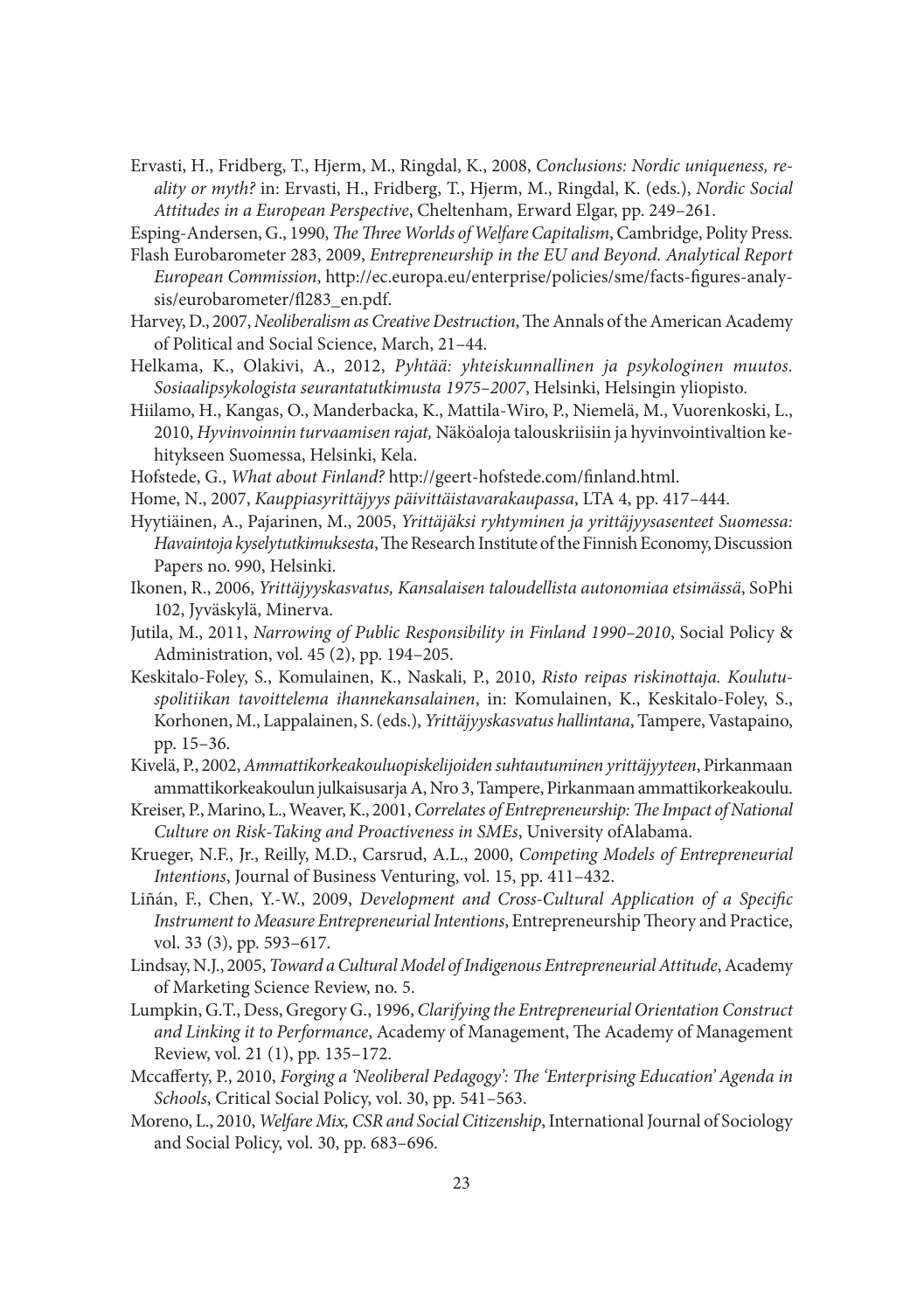Ervasti, H., Fridberg, T., Hjerm, M., Ringdal, K., 2008, *Conclusions: Nordic uniqueness, reality or myth?* in: Ervasti, H., Fridberg, T., Hjerm, M., Ringdal, K. (eds.), *Nordic Social Attitudes in a European Perspective*, Cheltenham, Erward Elgar, pp. 249–261.

Esping-Andersen, G., 1990, *The Three Worlds of Welfare Capitalism*, Cambridge, Polity Press.

- Flash Eurobarometer 283, 2009, *Entrepreneurship in the EU and Beyond. Analytical Report European Commission*, http://ec.europa.eu/enterprise/policies/sme/facts-figures-analysis/eurobarometer/fl283\_en.pdf.
- Harvey, D., 2007, *Neoliberalism as Creative Destruction*, The Annals of the American Academy of Political and Social Science, March, 21–44.
- Helkama, K., Olakivi, A., 2012, *Pyhtää: yhteiskunnallinen ja psykologinen muutos. Sosiaalipsykologista seurantatutkimusta 1975–2007*, Helsinki, Helsingin yliopisto.
- Hiilamo, H., Kangas, O., Manderbacka, K., Mattila-Wiro, P., Niemelä, M., Vuorenkoski, L., 2010, *Hyvinvoinnin turvaamisen rajat,* Näköaloja talouskriisiin ja hyvinvointivaltion kehitykseen Suomessa, Helsinki, Kela.
- Hofstede, G., What about Finland? http://geert-hofstede.com/finland.html.
- Home, N., 2007, *Kauppiasyrittäjyys päivittäistavarakaupassa*, LTA 4, pp. 417–444.
- Hyytiäinen, A., Pajarinen, M., 2005, *Yrittäjäksi ryhtyminen ja yrittäjyysasenteet Suomessa: Havaintoja kyselytutkimuksesta*, The Research Institute of the Finnish Economy, Discussion Papers no. 990, Helsinki.
- Ikonen, R., 2006, *Yrittäjyyskasvatus, Kansalaisen taloudellista autonomiaa etsimässä*, SoPhi 102, Jyväskylä, Minerva.
- Jutila, M., 2011, *Narrowing of Public Responsibility in Finland 1990–2010*, Social Policy & Administration, vol. 45 (2), pp. 194–205.
- Keskitalo-Foley, S., Komulainen, K., Naskali, P., 2010, *Risto reipas riskinottaja. Koulutuspolitiikan tavoittelema ihannekansalainen*, in: Komulainen, K., Keskitalo-Foley, S., Korhonen, M., Lappalainen, S. (eds.), *Yrittäjyyskasvatus hallintana*, Tampere, Vastapaino, pp. 15–36.
- Kivelä, P., 2002, *Ammattikorkeakouluopiskelijoiden suhtautuminen yrittäjyyteen*, Pirkan maan ammattikorkeakoulun julkaisusarja A, Nro 3, Tampere, Pirkanmaan ammattikorkeakoulu.
- Kreiser, P., Marino, L., Weaver, K., 2001, *Correlates of Entrepreneurship: The Impact of National Culture on Risk-Taking and Proactiveness in SMEs*, University ofAlabama.
- Krueger, N.F., Jr., Reilly, M.D., Carsrud, A.L., 2000, *Competing Models of Entrepreneurial Intentions*, Journal of Business Venturing, vol. 15, pp. 411–432.
- Liñán, F., Chen, Y.-W., 2009, *Development and Cross-Cultural Application of a Specific Instrument to Measure Entrepreneurial Intentions*, Entrepreneurship Theory and Practice, vol. 33 (3), pp. 593–617.
- Lindsay, N.J., 2005, *Toward a Cultural Model of Indigenous Entrepreneurial Attitude*, Academy of Marketing Science Review, no. 5.
- Lumpkin, G.T., Dess, Gregory G., 1996, *Clarifying the Entrepreneurial Orientation Construct*  and Linking it to Performance, Academy of Management, The Academy of Management Review, vol. 21 (1), pp. 135–172.
- Mccafferty, P., 2010, *Forging a 'Neoliberal Pedagogy': The 'Enterprising Education' Agenda in Schools*, Critical Social Policy, vol. 30, pp. 541–563.
- Moreno, L., 2010, *Welfare Mix, CSR and Social Citizenship*, International Journal of Sociology and Social Policy, vol. 30, pp. 683–696.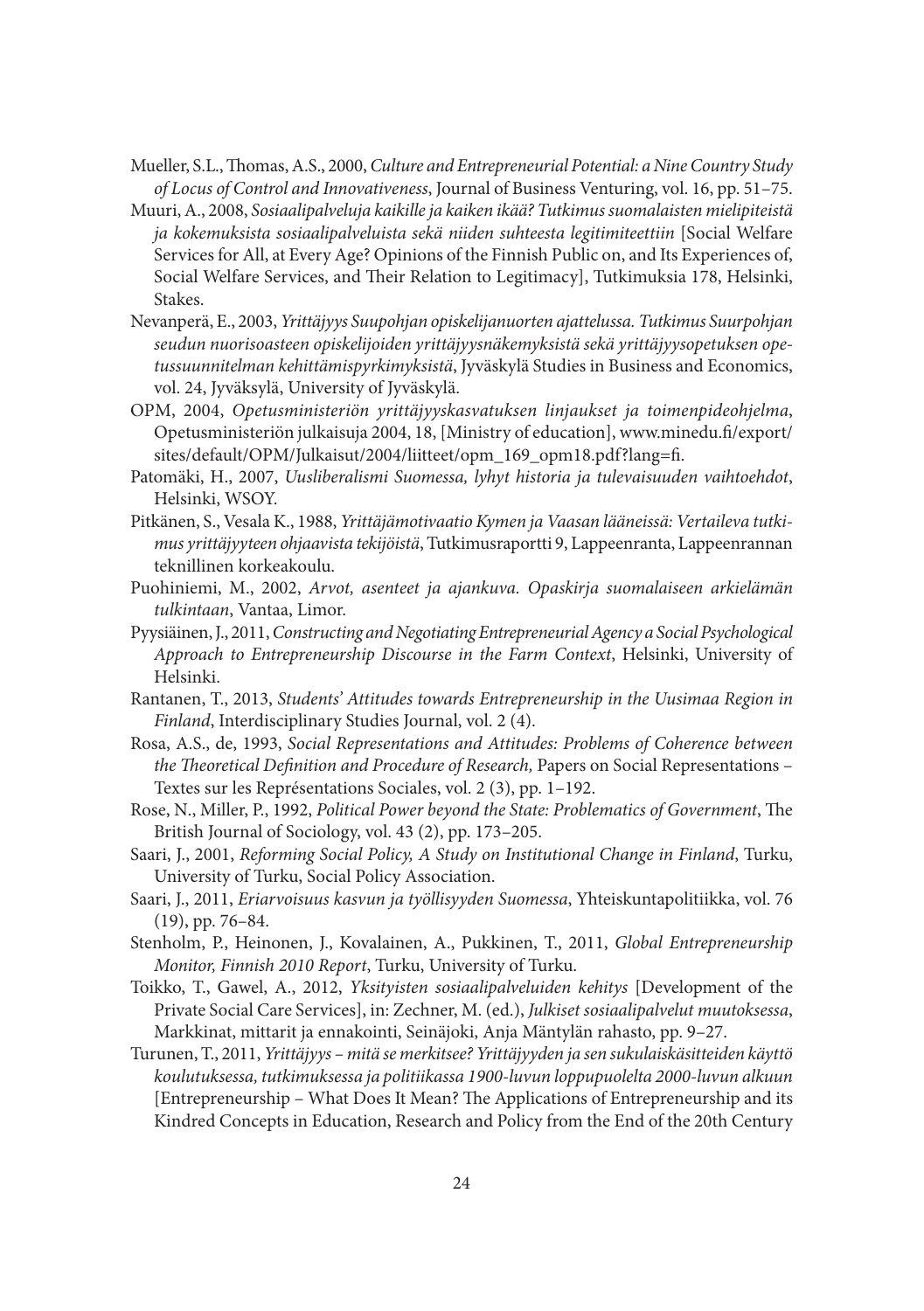- Mueller, S.L., Thomas, A.S., 2000, *Culture and Entrepreneurial Potential: a Nine Country Study of Locus of Control and Innovativeness*, Journal of Business Venturing, vol. 16, pp. 51–75.
- Muuri, A., 2008, *Sosiaalipalveluja kaikille ja kaiken ikää? Tutkimus suomalaisten mielipiteistä ja kokemuksista sosiaalipalveluista sekä niiden suhteesta legitimiteettiin* [Social Welfare Services for All, at Every Age? Opinions of the Finnish Public on, and Its Experiences of, Social Welfare Services, and Their Relation to Legitimacy], Tutkimuksia 178, Helsinki, Stakes.
- Nevanperä, E., 2003, *Yrittäjyys Suupohjan opiskelijanuorten ajattelussa. Tutkimus Suurpohjan seudun nuorisoasteen opiskelijoiden yrittäjyysnäkemyksistä sekä yrittäjyysopetuksen opetussuunnitelman kehittämispyrkimyksistä*, Jyväskylä Studies in Business and Economics, vol. 24, Jyväksylä, University of Jyväskylä.
- OPM, 2004, *Opetusministeriön yrittäjyyskasvatuksen linjaukset ja toimenpideohjelma*, Opetusministeriön julkaisuja 2004, 18, [Ministry of education], www.minedu.fi/export/ sites/default/OPM/Julkaisut/2004/liitteet/opm\_169\_opm18.pdf?lang=fi.
- Patomäki, H., 2007, *Uusliberalismi Suomessa, lyhyt historia ja tulevaisuuden vaihtoehdot*, Helsinki, WSOY.
- Pitkänen, S., Vesala K., 1988, *Yrittäjämotivaatio Kymen ja Vaasan lääneissä: Vertaileva tutkimus yrittäjyyteen ohjaavista tekijöistä*, Tutkimusraportti 9, Lappeenranta, Lappeenrannan teknillinen korkeakoulu.
- Puohiniemi, M., 2002, *Arvot, asenteet ja ajankuva. Opaskirja suomalaiseen arkielämän tulkintaan*, Vantaa, Limor.
- Pyysiäinen, J., 2011, *Constructing and Negotiating Entrepreneurial Agency a Social Psychological Approach to Entrepreneurship Discourse in the Farm Context*, Helsinki, University of Helsinki.
- Rantanen, T., 2013, *Students' Attitudes towards Entrepreneurship in the Uusimaa Region in Finland*, Interdisciplinary Studies Journal, vol. 2 (4).
- Rosa, A.S., de, 1993, *Social Representations and Attitudes: Problems of Coherence between*  the Theoretical Definition and Procedure of Research, Papers on Social Representations -Textes sur les Représentations Sociales, vol. 2 (3), pp. 1–192.
- Rose, N., Miller, P., 1992, *Political Power beyond the State: Problematics of Government*, The British Journal of Sociology, vol. 43 (2), pp. 173–205.
- Saari, J., 2001, *Reforming Social Policy, A Study on Institutional Change in Finland*, Turku, University of Turku, Social Policy Association.
- Saari, J., 2011, *Eriarvoisuus kasvun ja työllisyyden Suomessa*, Yhteiskuntapolitiikka, vol. 76 (19), pp. 76–84.
- Stenholm, P., Heinonen, J., Kovalainen, A., Pukkinen, T., 2011, *Global Entrepreneurship Monitor, Finnish 2010 Report*, Turku, University of Turku.
- Toikko, T., Gawel, A., 2012, *Yksityisten sosiaalipalveluiden kehitys* [Development of the Private Social Care Services], in: Zechner, M. (ed.), *Julkiset sosiaalipalvelut muutoksessa*, Markkinat, mittarit ja ennakointi, Seinäjoki, Anja Mäntylän rahasto, pp. 9–27.
- Turunen, T., 2011, *Yrittäjyys mitä se merkitsee? Yrittäjyyden ja sen sukulaiskäsitteiden käyttö koulutuksessa, tutkimuksessa ja politiikassa 1900-luvun loppupuolelta 2000-luvun alkuun* [Entrepreneurship – What Does It Mean? The Applications of Entrepreneurship and its Kindred Concepts in Education, Research and Policy from the End of the 20th Century